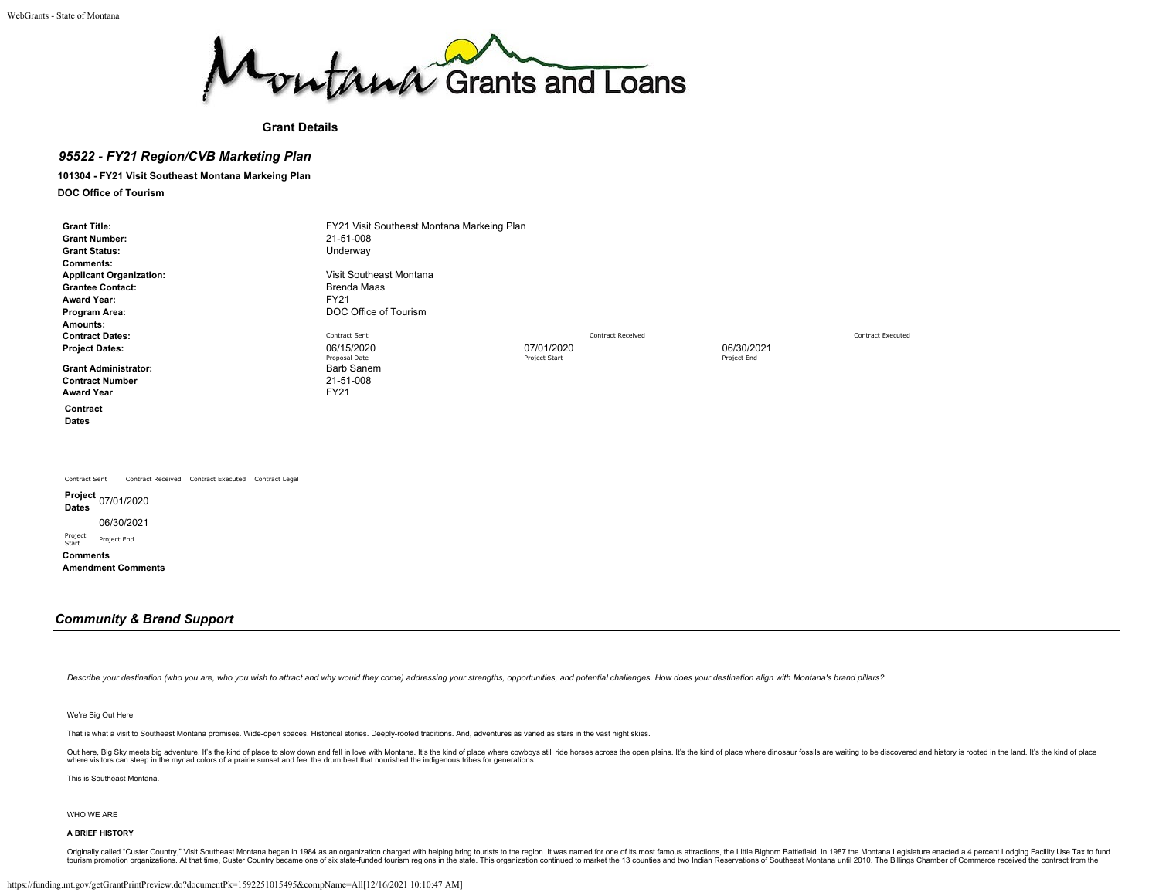

**Grant Details**

## *95522 - FY21 Region/CVB Marketing Plan*

### **101304 - FY21 Visit Southeast Montana Markeing Plan**

**DOC Office of Tourism**

| <b>Grant Title:</b><br><b>Grant Number:</b><br><b>Grant Status:</b><br><b>Comments:</b><br><b>Applicant Organization:</b><br><b>Grantee Contact:</b><br><b>Award Year:</b><br>Program Area: | FY21 Visit Southeast Montana Markeing Plan<br>21-51-008<br>Underway<br>Visit Southeast Montana<br><b>Brenda Maas</b><br><b>FY21</b><br>DOC Office of Tourism |                             |                          |                           |                          |
|---------------------------------------------------------------------------------------------------------------------------------------------------------------------------------------------|--------------------------------------------------------------------------------------------------------------------------------------------------------------|-----------------------------|--------------------------|---------------------------|--------------------------|
| Amounts:<br><b>Contract Dates:</b><br><b>Project Dates:</b><br><b>Grant Administrator:</b><br><b>Contract Number</b><br><b>Award Year</b><br>Contract<br>Dates                              | Contract Sent<br>06/15/2020<br>Proposal Date<br><b>Barb Sanem</b><br>21-51-008<br>FY21                                                                       | 07/01/2020<br>Project Start | <b>Contract Received</b> | 06/30/2021<br>Project End | <b>Contract Executed</b> |
| Contract Received Contract Executed Contract Legal<br>Contract Sent<br><b>Dates</b><br>06/30/2021                                                                                           |                                                                                                                                                              |                             |                          |                           |                          |

Project Project End

**Comments**

**Amendment Comments**

## *Community & Brand Support*

Describe your destination (who you are, who you wish to attract and why would they come) addressing your strengths, opportunities, and potential challenges. How does your destination align with Montana's brand pillars?

#### We're Big Out Here

That is what a visit to Southeast Montana promises. Wide-open spaces. Historical stories. Deeply-rooted traditions. And, adventures as varied as stars in the vast night skies.

Out here, Big Sky meets big adventure. It's the kind of place to slow down and fall in love with Montana. It's the kind of place where cowboys still ride horses across the open plains. It's the kind of place where dinosaur where visitors can steep in the myriad colors of a prairie sunset and feel the drum beat that nourished the indigenous tribes for generations.

This is Southeast Montana.

#### WHO WE ARE

### **A BRIEF HISTORY**

Originally called "Custer Country," Visit Southeast Montana began in 1984 as an organization charged with helping bring tourists to the region. It was named for one of its most famous attractions, the Little Bighorn Battle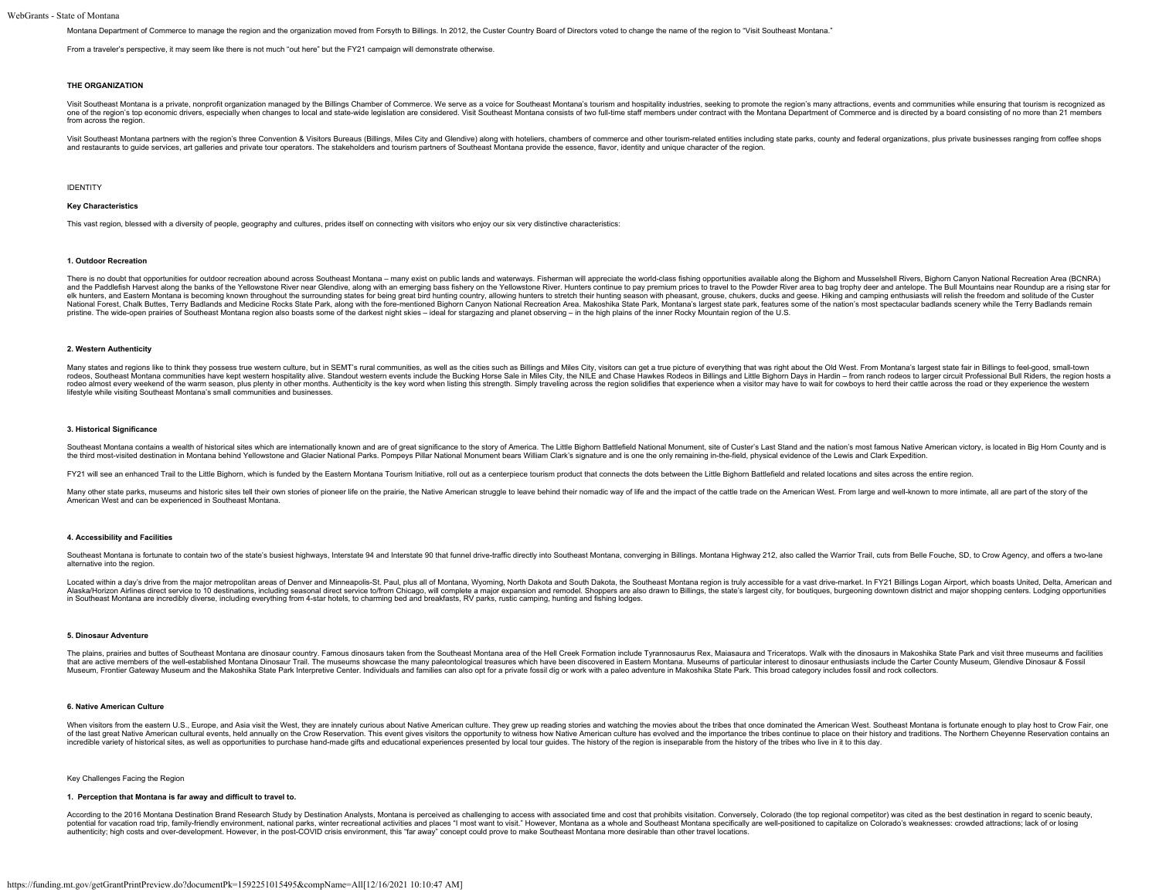Montana Department of Commerce to manage the region and the organization moved from Forsyth to Billings. In 2012, the Custer Country Board of Directors voted to change the name of the region to "Visit Southeast Montana."

From a traveler's perspective, it may seem like there is not much "out here" but the FY21 campaign will demonstrate otherwise.

#### **THE ORGANIZATION**

Visit Southeast Montana is a private, nonprofit organization managed by the Billings Chamber of Commerce. We serve as a voice for Southeast Montana's tourism and hospitality industries, seeking to promote the region's many one of the region's top economic drivers, especially when changes to local and state-wide legislation are considered. Visit Southeast Montana consists of two full-time staff members under contract with the Montana Departme from across the region.

Visit Southeast Montana partners with the region's three Convention & Visitors Bureaus (Billings. Miles City and Glendive) along with hoteliers, chambers of commerce and other tourism-related entities including state parks and restaurants to quide services, art galleries and private tour operators. The stakeholders and tourism partners of Southeast Montana provide the essence, flavor, identity and unique character of the region.

IDENTITY

#### **Key Characteristics**

This vast region, blessed with a diversity of people, geography and cultures, prides itself on connecting with visitors who enjoy our six very distinctive characteristics:

#### **1. Outdoor Recreation**

There is no doubt that opportunities for outdoor recreation abound across Southeast Montana - many exist on public lands and waterways. Fisherman will appreciate the world-class fishing opportunities available along the Bi and the Paddlefish Harvest along the banks of the Yellowstone River near Glendive, along with an emerging bass fishery on the Yellowstone River. Hunters continue to pay premium prices to travel to the Powder River Rive and National Forest, Chalk Buttes, Terry Badlands and Medicine Rocks State Park, along with the fore-mentioned Bighorn Canyon National Recreation Area. Makoshika State Park, Montana's largest state park, features some of the n pristine. The wide-open prairies of Southeast Montana region also boasts some of the darkest night skies – ideal for stargazing and planet observing – in the high plains of the inner Rocky Mountain region of the U.S.

#### **2. Western Authenticity**

Many states and regions like to think they possess true western culture, but in SEMT's rural communities, as well as the cities such as Billings and Miles City, visitors can get a true picture of everything that was right rodeos, Southeast Montana communities have kept western hospitality alive. Standout western events include the Bucking Horse Sale in Miles City, the NILE and Chase Hawkes Rodeos in Billings and Little Bighorn Days in Hardi rodeo almost every weekend of the warm season, plus plenty in other months. Authenticity is the key word when listing this strength. Simply traveling across the region solidifies that experience when a visitor may have to lifestyle while visiting Southeast Montana's small communities and businesses.

#### **3. Historical Significance**

Southeast Montana contains a wealth of historical sites which are internationally known and are of great significance to the story of America. The Little Bighorn Battlefield National Monument, site of Custer's Last Stand a the third most-visited destination in Montana behind Yellowstone and Glacier National Parks. Pompeys Pillar National Monument bears William Clark's signature and is one the only remaining in-the-field, physical evidence of

FY21 will see an enhanced Trail to the Little Bighorn, which is funded by the Eastern Montana Tourism Initiative, roll out as a centerpiece tourism product that connects the dots between the Little Bighorn Battlefield and

Many other state parks, museums and historic sites tell their own stories of pioneer life on the prairie, the Native American struggle to leave behind their nomadic way of life and the impact of the cattle trade on the Ame American West and can be experienced in Southeast Montana.

#### **4. Accessibility and Facilities**

Southeast Montana is fortunate to contain two of the state's busiest highways. Interstate 94 and Interstate 99 and Interstate 99 and Interstate 90 that funnel drive-traffic directly into Southeast Montana, converging in Bi alternative into the region.

Located within a day's drive from the major metropolitan areas of Denver and Minneapolis-St. Paul, plus all of Montana, Wyoming, North Dakota and South Dakota, the Southeast Montana region is truly accessible for a vast dr Alaska/Horizon Airlines direct service to 10 destinations, including seasonal direct service to/from Chicago, will complete a major expansion and remodel. Shoppers are also drawn to Billings, the state's largest city, for in Southeast Montana are incredibly diverse, including everything from 4-star hotels, to charming bed and breakfasts, RV parks, rustic camping, hunting and fishing lodges.

#### **5. Dinosaur Adventure**

The plains, prairies and buttes of Southeast Montana are dinosaur country. Famous dinosaurs taken from the Southeast Montana area of the Hell Creek Formation include Tyrannosaurus Rex, Maiasaura and Triceratops. Walk with that are active members of the well-established Montana Dinosaur Trail. The museums showcase the many paleontological treasures which have been discovered in Eastern Montana. Museums of particular interest to dinosaur enth Museum, Frontier Gateway Museum and the Makoshika State Park Interpretive Center. Individuals and families can also opt for a private fossil dig or work with a paleo adventure in Makoshika State Park. This broad category i

#### **6. Native American Culture**

When visitors from the eastern U.S., Europe, and Asia visit the West, they are innately curious about Native American culture. They grew up reading stories and watching the movies about the tribes that once dominated the A of the last great Native American cultural events, held annually on the Crow Reservation. This event gives visitors the opportunity to witness how Native American culture has evolved and the importance the tribes continue incredible variety of historical sites, as well as opportunities to purchase hand-made gifts and educational experiences presented by local tour guides. The history of the region is inseparable from the history of the trib

#### Key Challenges Facing the Region

#### **1. Perception that Montana is far away and difficult to travel to.**

According to the 2016 Montana Destination Brand Research Study by Destination Analysts. Montana is perceived as challenging to access with associated time and cost that prohibits visitation. Conversely, Colorado (the top r potential for vacation road trip, family-friendly environment, national parks, winter recreational activities and places "I most want to visit." However, Montana as a whole and Southeast Montana specifically are well-posit authenticity; high costs and over-development. However, in the post-COVID crisis environment, this "far away" concept could prove to make Southeast Montana more desirable than other travel locations.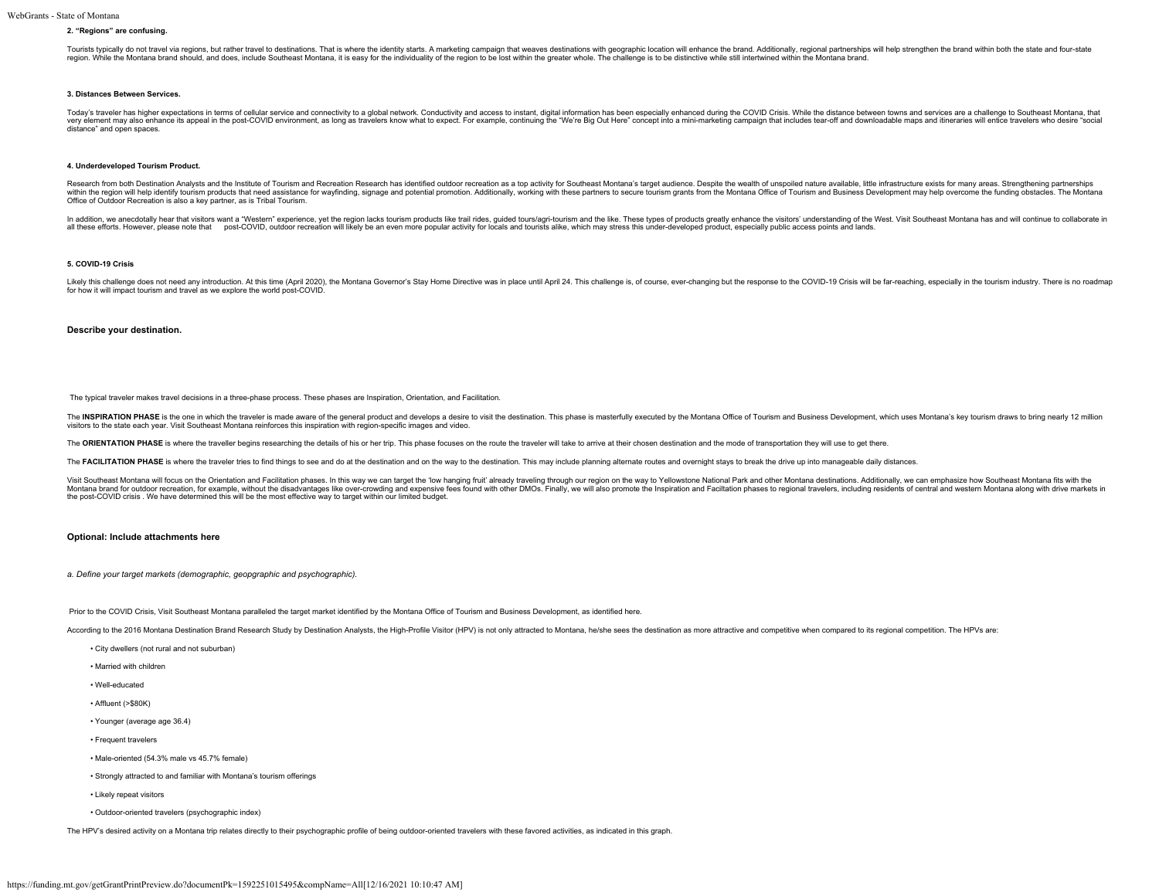#### **2. "Regions" are confusing.**

Tourists typically do not travel via regions, but rather travel to destinations. That is where the identity starts. A marketing campaign that weaves destinations with geographic location will enhance the brand. Additionall region. While the Montana brand should, and does, include Southeast Montana, it is easy for the individuality of the region to be lost within the greater whole. The challenge is to be distinctive while still intertwined wi

#### **3. Distances Between Services.**

Today's traveler has higher expectations in terms of cellular service and connectivity to a global network. Conductivity and access to instant, digital information has been especially enhanced during the COVID Crisis. Whil very element may also enhance its appeal in the post-COVID environment, as long as travelers know what to expect. For example, continuing the "We're Big Out Here" concept into a mini-marketing campaign that includes tear-o distance" and open spaces.

#### **4. Underdeveloped Tourism Product.**

Research from both Destination Analysts and the Institute of Tourism and Recreation Research has identified outdoor recreation as a top activity for Southeast Montana's target audience. Despite the wealth of unspoiled natu within the region will help identify tourism products that need assistance for wayfinding, signage and potential promotion. Additionally, working with these partners to secure tourism grants from the Montana Office of Tour Office of Outdoor Recreation is also a key partner, as is Tribal Tourism.

In addition, we anecdotally hear that visitors want a "Western" experience, yet the region lacks tourism products like trail rides, guided tours/agri-tourism and the like. These types of products greatly enhance the visito all these efforts. However, please note that post-COVID, outdoor recreation will likely be an even more popular activity for locals and tourists alike, which may stress this under-developed product, especially public acces

#### **5. COVID-19 Crisis**

Likely this challenge does not need any introduction. At this time (April 2020), the Montana Governor's Stay Home Directive was in place until April 24. This challenge is, of course, ever-changing but the response to the C

#### **Describe your destination.**

The typical traveler makes travel decisions in a three-phase process. These phases are Inspiration, Orientation, and Facilitation.

The INSPIRATION PHASE is the one in which the traveler is made aware of the general product and develops a desire to visit the destination. This phase is masterfully executed by the Montana Office of Tourism and Business D visitors to the state each year. Visit Southeast Montana reinforces this inspiration with region-specific images and video.

The ORIENTATION PHASE is where the traveller begins researching the details of his or her trip. This phase focuses on the route the traveler will take to arrive at their chosen destination and the mode of transportation th

The FACILITATION PHASE is where the traveler tries to find things to see and do at the destination and on the way to the destination. This may include planning alternate routes and overnight stays to break the drive up int

Visit Southeast Montana will focus on the Orientation and Facilitation phases. In this way we can target the 'low hanging fruit' already traveling through our region on the way to Yellowstone National Park and other Montan Montana brand for outdoor recreation, for example, without the disadvantages like over-crowding and expensive fees found with other DMOs. Finally, we will also promote the Inspiration and Faciltation phases to regional tra

#### **Optional: Include attachments here**

*a. Define your target markets (demographic, geopgraphic and psychographic).*

Prior to the COVID Crisis, Visit Southeast Montana paralleled the target market identified by the Montana Office of Tourism and Business Development, as identified here.

According to the 2016 Montana Destination Brand Research Study by Destination Analysts, the High-Profile Visitor (HPV) is not only attracted to Montana, he/she sees the destination as more attractive and competitive when c

- City dwellers (not rural and not suburban)
- Married with children
- Well-educated
- Affluent (>\$80K)
- Younger (average age 36.4)
- Frequent travelers
- Male-oriented (54.3% male vs 45.7% female)
- Strongly attracted to and familiar with Montana's tourism offerings
- Likely repeat visitors
- Outdoor-oriented travelers (psychographic index)

The HPV's desired activity on a Montana trip relates directly to their psychographic profile of being outdoor-oriented travelers with these favored activities, as indicated in this graph.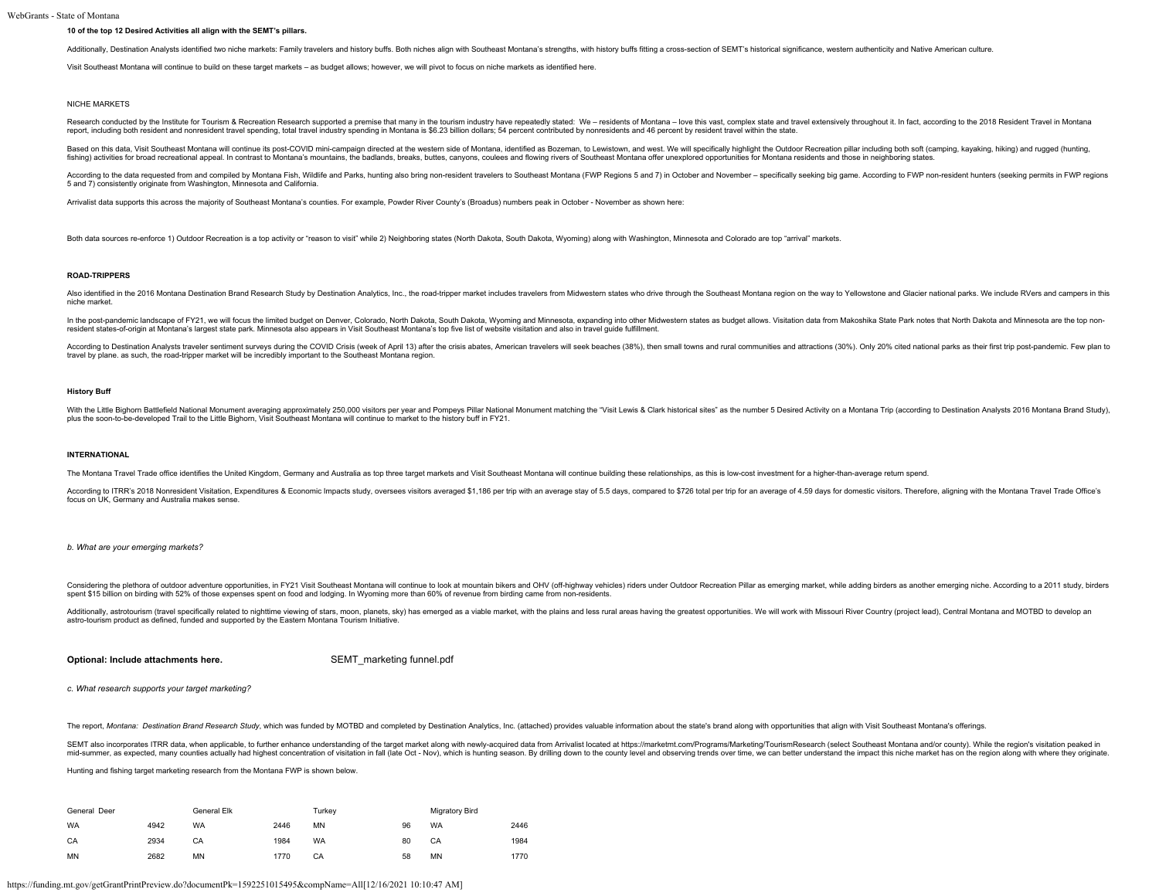#### **10 of the top 12 Desired Activities all align with the SEMT's pillars.**

Additionally, Destination Analysts identified two niche markets: Family travelers and history buffs. Both niches align with Southeast Montana's strengths, with history buffs fitting a cross-section of SEMT's historical sig

Visit Southeast Montana will continue to build on these target markets – as budget allows; however, we will pivot to focus on niche markets as identified here.

#### NICHE MARKETS

Research conducted by the Institute for Tourism & Recreation Research supported a premise that many in the tourism industry have repeatedly stated: We - residents of Montana - love this vast, complex state and travel exten report, including both resident and nonresident travel spending, total travel industry spending in Montana is \$6.23 billion dollars; 54 percent contributed by nonresidents and 46 percent by resident travel within the state

Based on this data, Visit Southeast Montana will continue its post-COVID mini-campaign directed at the western side of Montana, identified as Bozeman, to Lewistown, and west. We will specifically highlight the Outdoor Recr fishing) activities for broad recreational appeal. In contrast to Montana's mountains, the badlands, breaks, buttes, canyons, coulees and flowing rivers of Southeast Montana offer unexplored opportunities for Montana resid

According to the data requested from and compiled by Montana Fish, Wildlife and Parks, hunting also bring non-resident travelers to Southeast Montana (FWP Regions 5 and 7) in October and November - specifically seeking big 5 and 7) consistently originate from Washington, Minnesota and California.

Arrivalist data supports this across the majority of Southeast Montana's counties. For example, Powder River County's (Broadus) numbers peak in October - November as shown here:

Both data sources re-enforce 1) Outdoor Recreation is a top activity or "reason to visit" while 2) Neighboring states (North Dakota, South Dakota, Wyoming) along with Washington, Minnesota and Colorado are top "arrival" ma

#### **ROAD-TRIPPERS**

Also identified in the 2016 Montana Destination Brand Research Study by Destination Analytics Inc. the road-tripner market includes travelers from Midwestern states who drive through the Southeast Montana region on the way niche market.

In the post-pandemic landscape of FY21, we will focus the limited budget on Denver, Colorado, North Dakota, South Dakota, Wyoming and Minnesota, expanding into other Midwestern states as budget allows. Visitation data from resident states-of-origin at Montana's largest state park. Minnesota also appears in Visit Southeast Montana's top five list of website visitation and also in travel guide fulfillment.

According to Destination Analysts traveler sentiment surveys during the COVID Crisis (week of April 13) after the crisis abates, American travelers will seek beaches (38%), then small towns and rural communities and attrac travel by plane. as such, the road-tripper market will be incredibly important to the Southeast Montana region.

#### **History Buff**

With the Little Bighorn Battlefield National Monument averaging approximately 250,000 yisitors per year and Pompeys Pillar National Monument matching the "Visit Lewis & Clark historical sites" as the number 5 Desired Activ plus the soon-to-be-developed Trail to the Little Bighorn, Visit Southeast Montana will continue to market to the history buff in FY21.

#### **INTERNATIONAL**

The Montana Travel Trade office identifies the United Kingdom, Germany and Australia as top three target markets and Visit Southeast Montana will continue building these relationships, as this is low-cost investment for a

According to ITRR's 2018 Nonresident Visitation, Expenditures & Economic Impacts study, oversees visitors averaged \$1,186 per trip with an average stay of 5.5 days, compared to \$726 total per trip for an average of 4.59 da focus on UK, Germany and Australia makes sense.

#### *b. What are your emerging markets?*

Considering the plethora of outdoor adventure opportunities, in FY21 Visit Southeast Montana will continue to look at mountain bikers and OHV (off-highway vehicles) riders under Outdoor Recreation Pillar as emerging market spent \$15 billion on birding with 52% of those expenses spent on food and lodging. In Wyoming more than 60% of revenue from birding came from non-residents.

Additionally, astrotourism (travel specifically related to nighttime viewing of stars, moon, planets, sky) has emerged as a viable market, with the plains and less rural areas having the greatest opportunities. We will wor astro-tourism product as defined, funded and supported by the Eastern Montana Tourism Initiative.

### **Optional: Include attachments here.** [SEMT\\_marketing funnel.pdf](https://funding.mt.gov/fileDownload.jsp?filename=1588656918970_SEMT_marketing+funnel.pdf)

*c. What research supports your target marketing?*

The report, Montana: Destination Brand Research Study, which was funded by MOTBD and completed by Destination Analytics, Inc. (attached) provides valuable information about the state's brand along with opportunities that a

SEMT also incorporates ITRR data, when applicable, to further enhance understanding of the target market along with newly-acquired data from Arrivalist located at https://marketm.com/Programs/Marketing/TourismResearch (sel mid-summer, as expected, many counties actually had highest concentration of visitation in fall (late Oct - Nov), which is hunting season. By drilling down to the county level and observing trends over time, we can better

Hunting and fishing target marketing research from the Montana FWP is shown below.

| General Deer |      | General Elk |      | Turkey    |    | Migratory Bird |      |
|--------------|------|-------------|------|-----------|----|----------------|------|
| <b>WA</b>    | 4942 | <b>WA</b>   | 2446 | <b>MN</b> | 96 | <b>WA</b>      | 2446 |
| CA           | 2934 | СA          | 1984 | <b>WA</b> | 80 | CA             | 1984 |
| MN           | 2682 | MN          | 1770 | CA        | 58 | MN             | 1770 |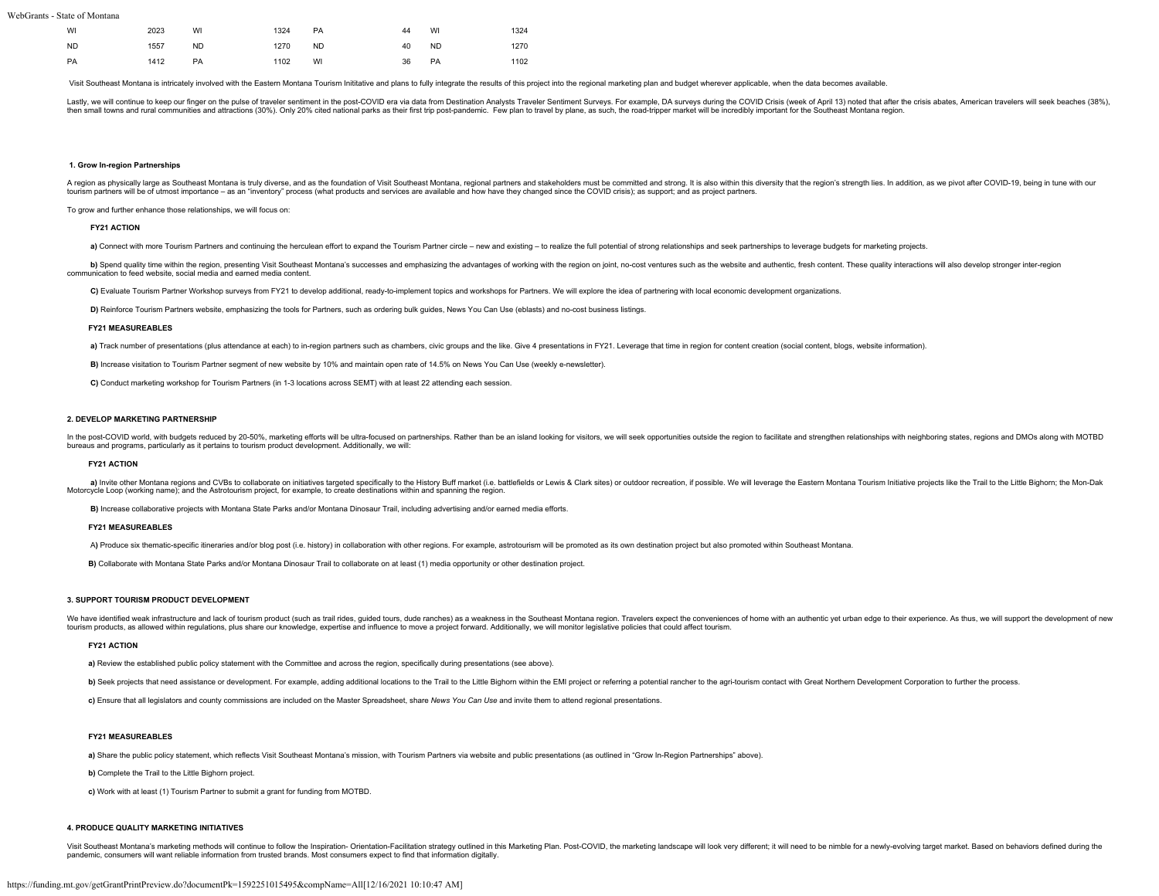| WI        | 2023 | WI        | 1324 | PA.       | 44 | WI        | 1324 |
|-----------|------|-----------|------|-----------|----|-----------|------|
| <b>ND</b> | 1557 | <b>ND</b> | 1270 | <b>ND</b> | 40 | <b>ND</b> | 1270 |
| PA        | 1412 | <b>PA</b> | 1102 | WI        | 36 | PA        | 1102 |

Visit Southeast Montana is intricately involved with the Eastern Montana Tourism Inititative and plans to fully integrate the results of this project into the regional marketing plan and budget wherever applicable, when th

Lastly, we will continue to keep our finger on the pulse of traveler sentiment in the post-COVID era via data from Destination Analysts Traveler Sentiment Surveys. For example, DA surveys during the COVID Crisis (week of A then small towns and rural communities and attractions (30%). Only 20% cited national parks as their first trip post-pandemic. Few plan to travel by plane, as such, the road-tripper market will be incredibly important for

#### **1. Grow In-region Partnerships**

A region as physically large as Southeast Montana is truly diverse, and as the foundation of Visit Southeast Montana, regional partners and stakeholders must be committed and strong. It is also within this diversity that t tourism partners will be of utmost importance – as an "inventory" process (what products and services are available and how have they changed since the COVID crisis); as support; and as project partners.

To grow and further enhance those relationships, we will focus on:

#### **FY21 ACTION**

a) Connect with more Tourism Partners and continuing the herculean effort to expand the Tourism Partner circle - new and existing - to realize the full potential of strong relationships and seek partnerships to leverage bu

b) Spend quality time within the region, presenting Visit Southeast Montana's successes and emphasizing the advantages of working with the region on joint, no-cost ventures such as the website and authentic, fresh content.

C) Evaluate Tourism Partner Workshop surveys from FY21 to develop additional, ready-to-implement topics and workshops for Partners. We will explore the idea of partnering with local economic development organizations.

**D)** Reinforce Tourism Partners website, emphasizing the tools for Partners, such as ordering bulk guides, News You Can Use (eblasts) and no-cost business listings.

#### **FY21 MEASUREABLES**

a) Track number of presentations (plus attendance at each) to in-region partners such as chambers, civic groups and the like. Give 4 presentations in FY21. Leverage that time in region for content creation (social content,

**B)** Increase visitation to Tourism Partner segment of new website by 10% and maintain open rate of 14.5% on News You Can Use (weekly e-newsletter).

**C)** Conduct marketing workshop for Tourism Partners (in 1-3 locations across SEMT) with at least 22 attending each session.

#### **2. DEVELOP MARKETING PARTNERSHIP**

In the post-COVID world, with budgets reduced by 20-50%, marketing efforts will be ultra-focused on partnerships. Rather than be an island looking for visitors, we will seek opportunities outside the region to facilitate a bureaus and programs, particularly as it pertains to tourism product development. Additionally, we will:

#### **FY21 ACTION**

a) Invite other Montana regions and CVBs to collaborate on initiatives targeted specifically to the History Buff market (i.e. battlefields or Lewis & Clark sites) or outdoor recreation, if possible. We will leverage the Ea Motorcycle Loop (working name); and the Astrotourism project, for example, to create destinations within and spanning the region.

**B)** Increase collaborative projects with Montana State Parks and/or Montana Dinosaur Trail, including advertising and/or earned media efforts.

#### **FY21 MEASUREABLES**

A) Produce six thematic-specific itineraries and/or blog post (i.e. history) in collaboration with other regions. For example, astrotourism will be promoted as its own destination project but also promoted within Southeast

 **B)** Collaborate with Montana State Parks and/or Montana Dinosaur Trail to collaborate on at least (1) media opportunity or other destination project.

#### **3. SUPPORT TOURISM PRODUCT DEVELOPMENT**

We have identified weak infrastructure and lack of tourism product (such as trail rides, quided tours, dude ranches) as a weakness in the Southeast Montana region. Travelers expect the conveniences of home with an authenti tourism products, as allowed within regulations, plus share our knowledge, expertise and influence to move a project forward. Additionally, we will monitor legislative policies that could affect tourism.

#### **FY21 ACTION**

**a)** Review the established public policy statement with the Committee and across the region, specifically during presentations (see above).

b) Seek projects that need assistance or development. For example, adding additional locations to the Trail to the Little Bighorn within the EMI project or referring a potential rancher to the agri-tourism contact with Gre

 **c)** Ensure that all legislators and county commissions are included on the Master Spreadsheet, share *News You Can Use* and invite them to attend regional presentations.

#### **FY21 MEASUREABLES**

 **a)** Share the public policy statement, which reflects Visit Southeast Montana's mission, with Tourism Partners via website and public presentations (as outlined in "Grow In-Region Partnerships" above).

**b)** Complete the Trail to the Little Bighorn project.

 **c)** Work with at least (1) Tourism Partner to submit a grant for funding from MOTBD.

#### **4. PRODUCE QUALITY MARKETING INITIATIVES**

Visit Southeast Montana's marketing methods will continue to follow the Inspiration- Orientation-Facilitation strategy outlined in this Marketing Plan. Post-COVID, the marketing landscape will look very different; it will pandemic, consumers will want reliable information from trusted brands. Most consumers expect to find that information digitally.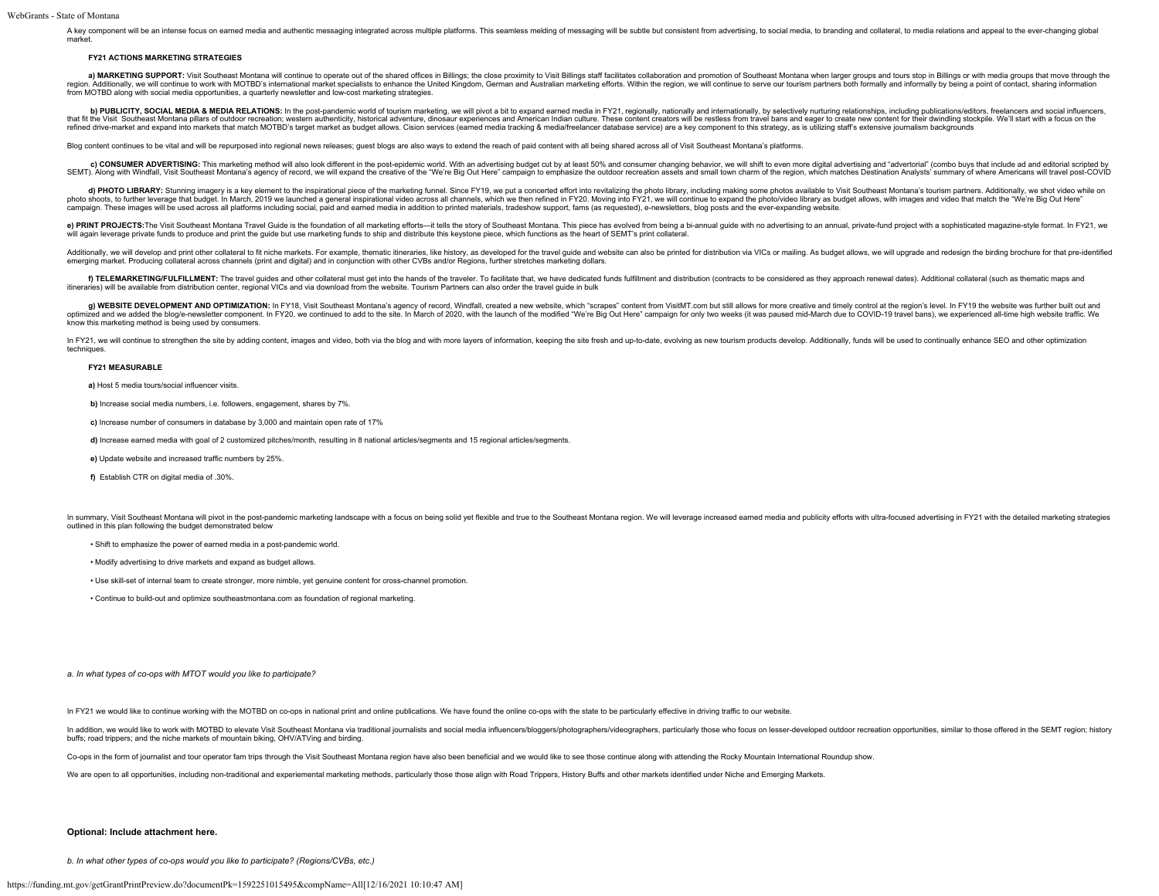A key component will be an intense focus on earned media and authentic messaging integrated across multiple platforms. This seamless melding of messaging will be subtle but consistent from advertising, to social media, to market.

#### **FY21 ACTIONS MARKETING STRATEGIES**

a) MARKETING SUPPORT: Visit Southeast Montana will continue to operate out of the shared offices in Billings; the close proximity to Visit Billings taff facilitates collaboration and promotion of Southeast Montana when lar from MOTBD along with social media opportunities, a quarterly newsletter and low-cost marketing strategies.

b) PUBLICITY, SOCIAL MEDIA & MEDIA RELATIONS: In the post-pandemic world of tourism marketing, we will pivot a bit to expand earned media in FY21, regionally, nationally and internationally, by selectively nurturing relati refined drive-market and expand into markets that match MOTBD's target market as budget allows. Cision services (earned media tracking & media/freelancer database service) are a key component to this strategy, as is utiliz

Blog content continues to be vital and will be repurposed into regional news releases; quest blogs are also ways to extend the reach of paid content with all being shared across all of Visit Southeast Montana's platforms.

c) CONSUMER ADVERTISING: This marketing method will also look different in the post-epidemic world. With an advertising budget cut by at least 50% and consumer changing behavior, we will shift to even more digital advertis SEMT). Along with Windfall, Visit Southeast Montana's agency of record, we will expand the creative of the "We're Big Out Here" campaign to emphasize the outdoor recreation assets and small town charm of the region, which

d) PHOTO LIBRARY: Stunning imagery is a key element to the inspirational piece of the marketing funnel. Since FY19, we put a concerted effort into revitalizing the photo library, including making some photos available to V photo shoots, to further leverage that budget. In March, 2019 we launched a general inspirational video across all channels, which we then refined in FY20. Moving into FY21, we will continue to expand the photo/video libra campaign. These images will be used across all platforms including social, paid and earned media in addition to printed materials, tradeshow support, fams (as requested), e-newsletters, blog posts and the ever-expanding we

e) PRINT PROJECTS: The Visit Southeast Montana Travel Guide is the foundation of all marketing efforts-it tells the story of Southeast Montana. This piece has evolved from being a bi-annual guide with no advertising to an will again leverage private funds to produce and print the guide but use marketing funds to ship and distribute this keystone piece, which functions as the heart of SEMT's print collateral.

Additionally, we will develop and print other collateral to fit niche markets. For example, thematic itineraries, like history, as developed for the travel guide and website can also be printed for distribution via VICs or

f) TELEMARKETING/FULFILLMENT: The travel guides and other collateral must get into the hands of the traveler. To facilitate that, we have dedicated funds fulfillment and distribution (contracts to be considered as they app itineraries) will be available from distribution center, regional VICs and via download from the website. Tourism Partners can also order the travel guide in bulk

g) WEBSITE DEVELOPMENT AND OPTIMIZATION: In FY18, Visit Southeast Montana's agency of record, Windfall, created a new website, which "scrapes" content from VisitMT.com but still allows for more creative and timely control optimized and we added the blog/e-newsletter component. In FY20, we continued to add to the site. In March of 2020, with the launch of the modified "We're Big Out Here" campaign for only two weeks (it was paused mid-March know this marketing method is being used by consumers.

In FY21, we will continue to strengthen the site by adding content, images and video, both via the blog and with more layers of information, keeping the site fresh and up-to-date, evolving as new tourism products develop. techniques

#### **FY21 MEASURABLE**

 **a)** Host 5 media tours/social influencer visits.

**b)** Increase social media numbers, i.e. followers, engagement, shares by 7%.

**c)** Increase number of consumers in database by 3,000 and maintain open rate of 17%

**d)** Increase earned media with goal of 2 customized pitches/month, resulting in 8 national articles/segments and 15 regional articles/segments

**e)** Update website and increased traffic numbers by 25%.

**f)** Establish CTR on digital media of .30%.

In summary, Visit Southeast Montana will nivot in the nost-pandemic marketing landscane with a focus on being solid wet flexible and true to the Southeast Montana region. We will leverage increased earned media and nublici outlined in this plan following the budget demonstrated below

• Shift to emphasize the power of earned media in a post-pandemic world.

- Modify advertising to drive markets and expand as budget allows.
- Use skill-set of internal team to create stronger, more nimble, yet genuine content for cross-channel promotion.
- Continue to build-out and optimize southeastmontana.com as foundation of regional marketing.

#### *a. In what types of co-ops with MTOT would you like to participate?*

In FY21 we would like to continue working with the MOTBD on co-ops in national print and online publications. We have found the online co-ops with the state to be particularly effective in driving traffic to our website.

In addition, we would like to work with MOTBD to elevate Visit Southeast Montana via traditional journalists and social media influencers/bloggers/photographers/videographers/ander and and those who focus on lesser-develop buffs; road trippers; and the niche markets of mountain biking, OHV/ATVing and birding.

Co-ops in the form of journalist and tour operator fam trips through the Visit Southeast Montana region have also been beneficial and we would like to see those continue along with attending the Rocky Mountain Internationa

We are open to all opportunities, including non-traditional and experiemental marketing methods, particularly those those align with Road Trippers, History Buffs and other markets identified under Niche and Emerging Market

#### **Optional: Include attachment here.**

*b. In what other types of co-ops would you like to participate? (Regions/CVBs, etc.)*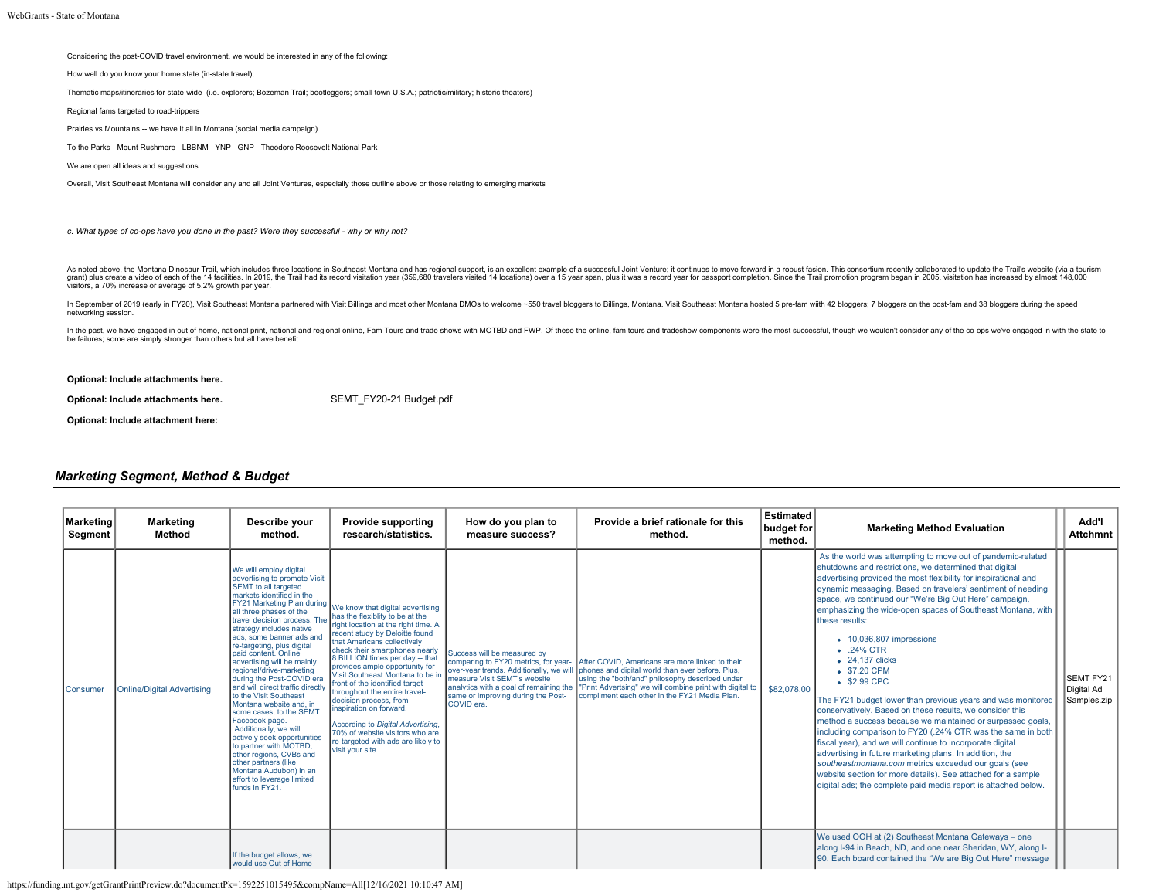Considering the post-COVID travel environment, we would be interested in any of the following:

How well do you know your home state (in-state travel);

Thematic maps/itineraries for state-wide (i.e. explorers; Bozeman Trail; bootleggers; small-town U.S.A.; patriotic/military; historic theaters)

Regional fams targeted to road-trippers

Prairies vs Mountains -- we have it all in Montana (social media campaign)

To the Parks - Mount Rushmore - LBBNM - YNP - GNP - Theodore Roosevelt National Park

We are open all ideas and suggestions.

Overall, Visit Southeast Montana will consider any and all Joint Ventures, especially those outline above or those relating to emerging markets

*c. What types of co-ops have you done in the past? Were they successful - why or why not?*

As noted above, the Montana Dinosaur Trail, which includes three locations in Southeast Montana and has regional support, is an excellent example of a successful Joint Venture; it continues to move forward in a robust fasi grant) plus create a video of each of the 14 facilities. In 2019, the Trail had its record visitation year (359,680 travelers visited 14 locations) over a 15 year span, plus it was a record year for passport completion. Si

In September of 2019 (early in FY20), Visit Southeast Montana partnered with Visit Billings and most other Montana DMOs to welcome ~550 travel bloggers to Billings, Montana. Visit Southeast Montana hosted 5 pre-fam with 42 networking session.

In the past, we have engaged in out of home, national print, national and regional online, Fam Tours and trade shows with MOTBD and FWP. Of these the online, fam tours and tradeshow components were the most successful, tho be failures; some are simply stronger than others but all have benefit.

**Optional: Include attachments here.**

**Optional: Include attachments here.** [SEMT\\_FY20-21 Budget.pdf](https://funding.mt.gov/fileDownload.jsp?filename=1588656918980_SEMT_FY20-21+Budget.pdf)

**Optional: Include attachment here:**

## *Marketing Segment, Method & Budget*

| <b>Marketing</b><br>Segment | <b>Marketing</b><br>Method         | Describe your<br>method.                                                                                                                                                                                                                                                                                                                                                                                                                                                                                                                                                                                                                                                                                                                                     | <b>Provide supporting</b><br>research/statistics.                                                                                                                                                                                                                                                                                                                                                                                                                                                                                                                                | How do you plan to<br>measure success?                                                                                                                                                                                                       | Provide a brief rationale for this<br>method.                                                                                                                                                                                                                       | <b>Estimated</b><br>budget for<br>method. | <b>Marketing Method Evaluation</b>                                                                                                                                                                                                                                                                                                                                                                                                                                                                                                                                                                                                                                                                                                                                                                                                                                                                                                                                                                                                                                                         | Add'l<br><b>Attchmnt</b>                      |
|-----------------------------|------------------------------------|--------------------------------------------------------------------------------------------------------------------------------------------------------------------------------------------------------------------------------------------------------------------------------------------------------------------------------------------------------------------------------------------------------------------------------------------------------------------------------------------------------------------------------------------------------------------------------------------------------------------------------------------------------------------------------------------------------------------------------------------------------------|----------------------------------------------------------------------------------------------------------------------------------------------------------------------------------------------------------------------------------------------------------------------------------------------------------------------------------------------------------------------------------------------------------------------------------------------------------------------------------------------------------------------------------------------------------------------------------|----------------------------------------------------------------------------------------------------------------------------------------------------------------------------------------------------------------------------------------------|---------------------------------------------------------------------------------------------------------------------------------------------------------------------------------------------------------------------------------------------------------------------|-------------------------------------------|--------------------------------------------------------------------------------------------------------------------------------------------------------------------------------------------------------------------------------------------------------------------------------------------------------------------------------------------------------------------------------------------------------------------------------------------------------------------------------------------------------------------------------------------------------------------------------------------------------------------------------------------------------------------------------------------------------------------------------------------------------------------------------------------------------------------------------------------------------------------------------------------------------------------------------------------------------------------------------------------------------------------------------------------------------------------------------------------|-----------------------------------------------|
| <b>I</b> Consumer           | <b>IOnline/Digital Advertising</b> | We will employ digital<br>advertising to promote Visit<br>SEMT to all targeted<br>markets identified in the<br>FY21 Marketing Plan during<br>all three phases of the<br>travel decision process. T<br>strategy includes native<br>ads, some banner ads and<br>re-targeting, plus digital<br>paid content, Online<br>advertising will be mainly<br>regional/drive-marketing<br>during the Post-COVID era<br>and will direct traffic directly<br>to the Visit Southeast<br>Montana website and, in<br>some cases, to the SEMT<br>Facebook page.<br>Additionally, we will<br>actively seek opportunities<br>to partner with MOTBD.<br>other regions, CVBs and<br>other partners (like<br>Montana Audubon) in an<br>effort to leverage limited<br>funds in FY21. | We know that digital advertising<br>has the flexiblity to be at the<br>right location at the right time. A<br>recent study by Deloitte found<br>that Americans collectively<br>check their smartphones nearly<br>8 BILLION times per day -- that<br>provides ample opportunity for<br>Visit Southeast Montana to be in<br>front of the identified target<br>throughout the entire travel-<br>decision process, from<br>inspiration on forward.<br>According to Digital Advertising.<br>70% of website visitors who are<br>re-targeted with ads are likely to<br>visit your site. | Success will be measured by<br>comparing to FY20 metrics, for year-<br>over-year trends. Additionally, we will<br>measure Visit SEMT's website<br>analytics with a goal of remaining the<br>same or improving during the Post-<br>COVID era. | After COVID. Americans are more linked to their<br>phones and digital world than ever before. Plus,<br>using the "both/and" philosophy described under<br>"Print Advertsing" we will combine print with digital to<br>compliment each other in the FY21 Media Plan. | \$82,078,00                               | As the world was attempting to move out of pandemic-related<br>shutdowns and restrictions, we determined that digital<br>advertising provided the most flexibility for inspirational and<br>dynamic messaging. Based on travelers' sentiment of needing<br>space, we continued our "We're Big Out Here" campaign,<br>emphasizing the wide-open spaces of Southeast Montana, with<br>these results:<br>$\bullet$ 10,036,807 impressions<br>$\bullet$ .24% CTR<br>• 24.137 clicks<br>• \$7.20 CPM<br>• \$2.99 CPC<br>The FY21 budget lower than previous years and was monitored<br>conservatively. Based on these results, we consider this<br>method a success because we maintained or surpassed goals,<br>including comparison to FY20 (.24% CTR was the same in both<br>fiscal year), and we will continue to incorporate digital<br>advertising in future marketing plans. In addition, the<br>southeastmontana.com metrics exceeded our goals (see<br>website section for more details). See attached for a sample<br>Idigital ads: the complete paid media report is attached below. | <b>SEMT FY21</b><br>Digital Ad<br>Samples.zip |
|                             |                                    | If the budget allows, we<br>would use Out of Home                                                                                                                                                                                                                                                                                                                                                                                                                                                                                                                                                                                                                                                                                                            |                                                                                                                                                                                                                                                                                                                                                                                                                                                                                                                                                                                  |                                                                                                                                                                                                                                              |                                                                                                                                                                                                                                                                     |                                           | We used OOH at (2) Southeast Montana Gateways - one<br>along I-94 in Beach, ND, and one near Sheridan, WY, along I-<br>90. Each board contained the "We are Big Out Here" message                                                                                                                                                                                                                                                                                                                                                                                                                                                                                                                                                                                                                                                                                                                                                                                                                                                                                                          |                                               |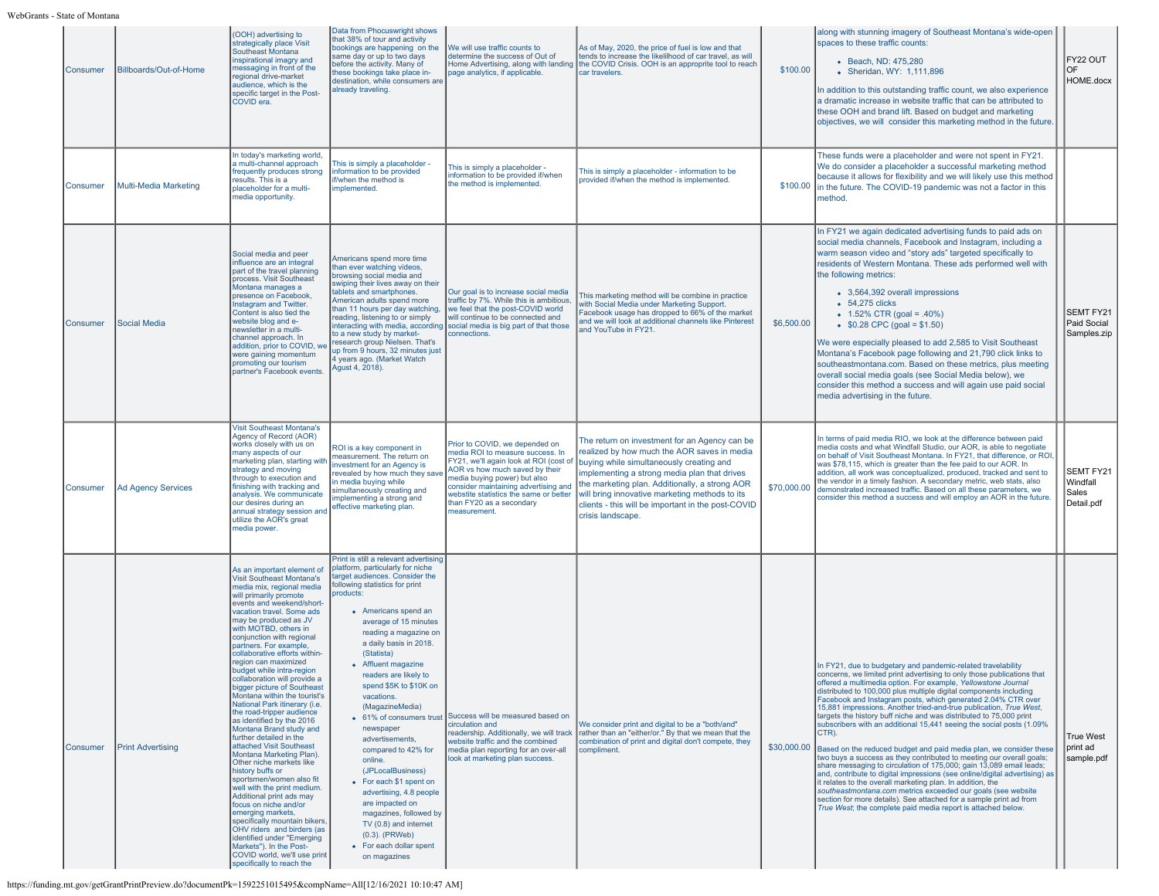| <b>Consumer</b>   | Billboards/Out-of-Home    | (OOH) advertising to<br>strategically place Visit<br>Southeast Montana<br>inspirational imagry and<br>messaging in front of the<br>regional drive-market<br>audience, which is the<br>specific target in the Post-<br>COVID era.                                                                                                                                                                                                                                                                                                                                                                                                                                                                                                                                                                                                                                                                                                                                                                                                                                 | Data from Phocuswright shows<br>that 38% of tour and activity<br>bookings are happening on the<br>same day or up to two days<br>before the activity. Many of<br>these bookings take place in-<br>destination, while consumers are<br>already traveling.                                                                                                                                                                                                                                                                                                                                                                                                                    | We will use traffic counts to<br>determine the success of Out of<br>page analytics, if applicable.                                                                                                                                                                                                           | As of May, 2020, the price of fuel is low and that<br>tends to increase the likelilhood of car travel, as will<br>Home Advertising, along with landing the COVID Crisis. OOH is an approprite tool to reach<br>car travelers.                                                                                                                                           | \$100.00    | lalong with stunning imagery of Southeast Montana's wide-open<br>spaces to these traffic counts:<br>• Beach, ND: 475,280<br>• Sheridan, WY: 1,111,896<br>In addition to this outstanding traffic count, we also experience<br>a dramatic increase in website traffic that can be attributed to<br>these OOH and brand lift. Based on budget and marketing<br>objectives, we will consider this marketing method in the future.                                                                                                                                                                                                                                                                                                                                                                                                                                                                                                                                                                                                                                                                                                                               | FY22 OUT<br>OF<br>HOME.docx                         |
|-------------------|---------------------------|------------------------------------------------------------------------------------------------------------------------------------------------------------------------------------------------------------------------------------------------------------------------------------------------------------------------------------------------------------------------------------------------------------------------------------------------------------------------------------------------------------------------------------------------------------------------------------------------------------------------------------------------------------------------------------------------------------------------------------------------------------------------------------------------------------------------------------------------------------------------------------------------------------------------------------------------------------------------------------------------------------------------------------------------------------------|----------------------------------------------------------------------------------------------------------------------------------------------------------------------------------------------------------------------------------------------------------------------------------------------------------------------------------------------------------------------------------------------------------------------------------------------------------------------------------------------------------------------------------------------------------------------------------------------------------------------------------------------------------------------------|--------------------------------------------------------------------------------------------------------------------------------------------------------------------------------------------------------------------------------------------------------------------------------------------------------------|-------------------------------------------------------------------------------------------------------------------------------------------------------------------------------------------------------------------------------------------------------------------------------------------------------------------------------------------------------------------------|-------------|--------------------------------------------------------------------------------------------------------------------------------------------------------------------------------------------------------------------------------------------------------------------------------------------------------------------------------------------------------------------------------------------------------------------------------------------------------------------------------------------------------------------------------------------------------------------------------------------------------------------------------------------------------------------------------------------------------------------------------------------------------------------------------------------------------------------------------------------------------------------------------------------------------------------------------------------------------------------------------------------------------------------------------------------------------------------------------------------------------------------------------------------------------------|-----------------------------------------------------|
| <b>I</b> Consumer | Multi-Media Marketing     | In today's marketing world,<br>a multi-channel approach<br>frequently produces strong<br>results. This is a<br>placeholder for a multi-<br>media opportunity.                                                                                                                                                                                                                                                                                                                                                                                                                                                                                                                                                                                                                                                                                                                                                                                                                                                                                                    | This is simply a placeholder -<br>information to be provided<br>if/when the method is<br>implemented.                                                                                                                                                                                                                                                                                                                                                                                                                                                                                                                                                                      | This is simply a placeholder -<br>information to be provided if/when<br>the method is implemented.                                                                                                                                                                                                           | This is simply a placeholder - information to be<br>provided if/when the method is implemented.                                                                                                                                                                                                                                                                         | \$100.00    | These funds were a placeholder and were not spent in FY21.<br>We do consider a placeholder a successful marketing method<br>because it allows for flexibility and we will likely use this method<br>in the future. The COVID-19 pandemic was not a factor in this<br>method.                                                                                                                                                                                                                                                                                                                                                                                                                                                                                                                                                                                                                                                                                                                                                                                                                                                                                 |                                                     |
| Consumer          | Social Media              | Social media and peer<br>influence are an integral<br>part of the travel planning<br>process. Visit Southeast<br>Montana manages a<br>presence on Facebook,<br>Instagram and Twitter.<br>Content is also tied the<br>website blog and e-<br>newsletter in a multi-<br>channel approach. In<br>addition, prior to COVID, we<br>were gaining momentum<br>promoting our tourism<br>partner's Facebook events.                                                                                                                                                                                                                                                                                                                                                                                                                                                                                                                                                                                                                                                       | Americans spend more time<br>than ever watching videos,<br>browsing social media and<br>swiping their lives away on their<br>tablets and smartphones.<br>American adults spend more<br>than 11 hours per day watching,<br>reading, listening to or simply<br>interacting with media, according<br>to a new study by market-<br>research group Nielsen. That's<br>up from 9 hours, 32 minutes just<br>4 years ago. (Market Watch<br>Agust 4, 2018).                                                                                                                                                                                                                         | Our goal is to increase social media<br>traffic by 7%. While this is ambitious,<br>we feel that the post-COVID world<br>will continue to be connected and<br>social media is big part of that those<br>connections.                                                                                          | This marketing method will be combine in practice<br>with Social Media under Marketing Support.<br>Facebook usage has dropped to 66% of the market<br>and we will look at additional channels like Pinterest<br>and YouTube in FY21.                                                                                                                                    | \$6,500.00  | In FY21 we again dedicated advertising funds to paid ads on<br>social media channels, Facebook and Instagram, including a<br>warm season video and "story ads" targeted specifically to<br>residents of Western Montana. These ads performed well with<br>the following metrics:<br>• 3,564,392 overall impressions<br>• 54,275 clicks<br>• $1.52\%$ CTR (goal = .40%)<br>$$0.28$ CPC (goal = \$1.50)<br>We were especially pleased to add 2,585 to Visit Southeast<br>Montana's Facebook page following and 21,790 click links to<br>southeastmontana.com. Based on these metrics, plus meeting<br>overall social media goals (see Social Media below), we<br>consider this method a success and will again use paid social<br>media advertising in the future.                                                                                                                                                                                                                                                                                                                                                                                             | <b>SEMT FY21</b><br>Paid Social<br>Samples.zip      |
| <b>Consumer</b>   | <b>Ad Agency Services</b> | <b>Visit Southeast Montana's</b><br>Agency of Record (AOR)<br>works closely with us on<br>many aspects of our<br>marketing plan, starting with<br>strategy and moving<br>through to execution and<br>finishing with tracking and<br>analysis. We communicate<br>our desires during an<br>annual strategy session and<br>utilize the AOR's great<br>media power.                                                                                                                                                                                                                                                                                                                                                                                                                                                                                                                                                                                                                                                                                                  | ROI is a key component in<br>measurement. The return on<br>investment for an Agency is<br>revealed by how much they save<br>in media buying while<br>simultaneously creating and<br>implementing a strong and<br>effective marketing plan.                                                                                                                                                                                                                                                                                                                                                                                                                                 | Prior to COVID, we depended on<br>media ROI to measure success. In<br>FY21, we'll again look at ROI (cost of<br>AOR vs how much saved by their<br>media buying power) but also<br>consider maintaining advertising and<br>webstite statistics the same or better<br>than FY20 as a secondary<br>measurement. | The return on investment for an Agency can be<br>realized by how much the AOR saves in media<br>buying while simultaneously creating and<br>implementing a strong media plan that drives<br>the marketing plan. Additionally, a strong AOR<br>will bring innovative marketing methods to its<br>clients - this will be important in the post-COVID<br>crisis landscape. | \$70,000.00 | In terms of paid media RIO, we look at the difference between paid<br>media costs and what Windfall Studio, our AOR, is able to negotiate<br>on behalf of Visit Southeast Montana. In FY21, that difference, or ROI<br>was \$78,115, which is greater than the fee paid to our AOR. In<br>addition, all work was conceptualized, produced, tracked and sent to<br>the vendor in a timely fashion. A secondary metric, web stats, also<br>demonstrated increased traffic. Based on all these parameters, we<br>consider this method a success and will employ an AOR in the future.                                                                                                                                                                                                                                                                                                                                                                                                                                                                                                                                                                           | <b>SEMT FY21</b><br>Windfall<br>Sales<br>Detail.pdf |
| <b>Consumer</b>   | <b>Print Advertising</b>  | As an important element of<br><b>Visit Southeast Montana's</b><br>media mix, regional media<br>will primarily promote<br>events and weekend/short-<br>vacation travel. Some ads<br>may be produced as JV<br>with MOTBD, others in<br>conjunction with regional<br>partners. For example,<br>collaborative efforts within-<br>region can maximized<br>budget while intra-region<br>collaboration will provide a<br>bigger picture of Southeast<br>Montana within the tourist's<br>National Park itinerary (i.e.<br>the road-tripper audience<br>as identified by the 2016<br>Montana Brand study and<br>further detailed in the<br>attached Visit Southeast<br>Montana Marketing Plan).<br>Other niche markets like<br>history buffs or<br>sportsmen/women also fit<br>well with the print medium.<br>Additional print ads may<br>focus on niche and/or<br>emerging markets,<br>specifically mountain bikers,<br>OHV riders and birders (as<br>identified under "Emeraina<br>Markets"). In the Post-<br>COVID world, we'll use print<br>specifically to reach the | Print is still a relevant advertising<br>platform, particularly for niche<br>target audiences. Consider the<br>following statistics for print<br>products:<br>• Americans spend an<br>average of 15 minutes<br>reading a magazine on<br>a daily basis in 2018.<br>(Statista)<br>• Affluent magazine<br>readers are likely to<br>spend \$5K to \$10K on<br>vacations.<br>(MagazineMedia)<br>newspaper<br>advertisements.<br>compared to 42% for<br>online.<br>(JPLocalBusiness)<br>• For each \$1 spent on<br>advertising, 4.8 people<br>are impacted on<br>magazines, followed by<br>TV (0.8) and internet<br>$(0.3)$ . (PRWeb)<br>• For each dollar spent<br>on magazines | • 61% of consumers trust Success will be measured based on<br>circulation and<br>readership. Additionally, we will track<br>website traffic and the combined<br>media plan reporting for an over-all<br>look at marketing plan success.                                                                      | We consider print and digital to be a "both/and"<br>rather than an "either/or." By that we mean that the<br>combination of print and digital don't compete, they<br>compliment.                                                                                                                                                                                         |             | In FY21, due to budgetary and pandemic-related travelability<br>concerns, we limited print advertising to only those publications that<br>offered a multimedia option. For example, Yellowstone Journal<br>distributed to 100,000 plus multiple digital components including<br>Facebook and Instagram posts, which generated 2.04% CTR over<br>15,881 impressions. Another tried-and-true publication, True West,<br>targets the history buff niche and was distributed to 75,000 print<br>subscribers with an additional 15,441 seeing the social posts (1.09%<br>CTR).<br>\$30,000.00 Based on the reduced budget and paid media plan, we consider these<br>two buys a success as they contributed to meeting our overall goals;<br>share messaging to circulation of 175,000; gain 13,089 email leads;<br>and, contribute to digital impressions (see online/digital advertising) as<br>it relates to the overall marketing plan. In addition, the<br>southeastmontana.com metrics exceeded our goals (see website<br>section for more details). See attached for a sample print ad from<br>True West; the complete paid media report is attached below. | True West<br>print ad<br>sample.pdf                 |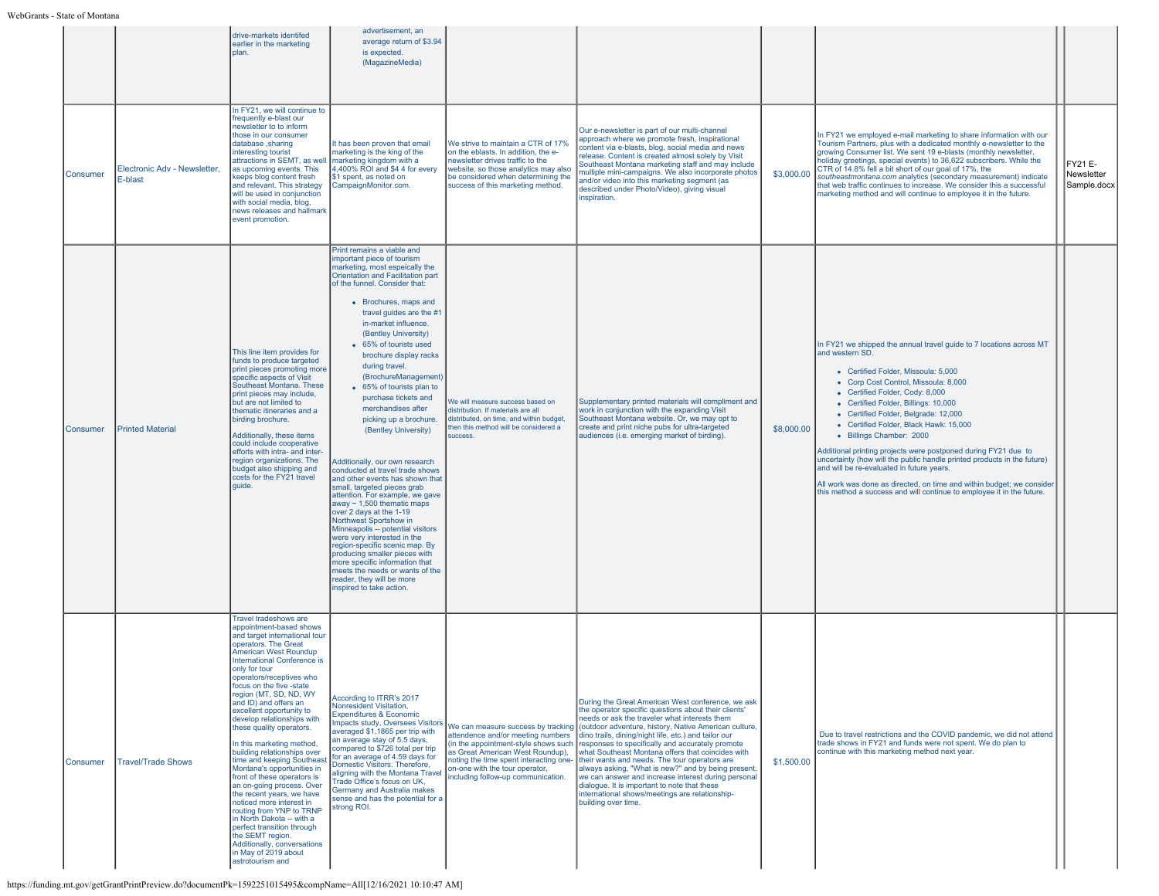|          |                                         | drive-markets identifed<br>earlier in the marketing<br>plan.                                                                                                                                                                                                                                                                                                                                                                                                                                                                                                                                                                                                                                                                                                                                                                  | advertisement, an<br>average return of \$3.94<br>is expected.<br>(MagazineMedia)                                                                                                                                                                                                                                                                                                                                                                                                                                                                                                                                                                                                                                                                                                                                                                                                                                                                                                                                                        |                                                                                                                                                                                                                                  |                                                                                                                                                                                                                                                                                                                                                                                                                                                                                                                                                                                                                                                                                                                 |            |                                                                                                                                                                                                                                                                                                                                                                                                                                                                                                                                                                                                                                                                                                            |                                             |
|----------|-----------------------------------------|-------------------------------------------------------------------------------------------------------------------------------------------------------------------------------------------------------------------------------------------------------------------------------------------------------------------------------------------------------------------------------------------------------------------------------------------------------------------------------------------------------------------------------------------------------------------------------------------------------------------------------------------------------------------------------------------------------------------------------------------------------------------------------------------------------------------------------|-----------------------------------------------------------------------------------------------------------------------------------------------------------------------------------------------------------------------------------------------------------------------------------------------------------------------------------------------------------------------------------------------------------------------------------------------------------------------------------------------------------------------------------------------------------------------------------------------------------------------------------------------------------------------------------------------------------------------------------------------------------------------------------------------------------------------------------------------------------------------------------------------------------------------------------------------------------------------------------------------------------------------------------------|----------------------------------------------------------------------------------------------------------------------------------------------------------------------------------------------------------------------------------|-----------------------------------------------------------------------------------------------------------------------------------------------------------------------------------------------------------------------------------------------------------------------------------------------------------------------------------------------------------------------------------------------------------------------------------------------------------------------------------------------------------------------------------------------------------------------------------------------------------------------------------------------------------------------------------------------------------------|------------|------------------------------------------------------------------------------------------------------------------------------------------------------------------------------------------------------------------------------------------------------------------------------------------------------------------------------------------------------------------------------------------------------------------------------------------------------------------------------------------------------------------------------------------------------------------------------------------------------------------------------------------------------------------------------------------------------------|---------------------------------------------|
| Consumer | Electronic Adv - Newsletter,<br>E-blast | In FY21, we will continue to<br>frequently e-blast our<br>newsletter to to inform<br>those in our consumer<br>database .sharing<br>interesting tourist<br>attractions in SEMT, as well<br>as upcoming events. This<br>keeps blog content fresh<br>and relevant. This strategy<br>will be used in conjunction<br>with social media, blog,<br>news releases and hallmark<br>event promotion.                                                                                                                                                                                                                                                                                                                                                                                                                                    | It has been proven that email<br>marketing is the king of the<br>marketing kingdom with a<br>4,400% ROI and \$4 4 for every<br>\$1 spent, as noted on<br>CampaignMonitor.com.                                                                                                                                                                                                                                                                                                                                                                                                                                                                                                                                                                                                                                                                                                                                                                                                                                                           | We strive to maintain a CTR of 17%<br>on the eblasts. In addition, the e-<br>newsletter drives traffic to the<br>website, so those analytics may also<br>be considered when determining the<br>success of this marketing method. | Our e-newsletter is part of our multi-channel<br>approach where we promote fresh, inspirational<br>content via e-blasts, blog, social media and news<br>release. Content is created almost solely by Visit<br>Southeast Montana marketing staff and may include<br>nultiple mini-campaigns. We also incorporate photos<br>and/or video into this marketing segment (as<br>described under Photo/Video), giving visual<br>inspiration.                                                                                                                                                                                                                                                                           | \$3,000.00 | In FY21 we employed e-mail marketing to share information with our<br>Tourism Partners, plus with a dedicated monthly e-newsletter to the<br>growing Consumer list. We sent 19 e-blasts (monthly newsletter,<br>holiday greetings, special events) to 36,622 subscribers. While the<br>CTR of 14.8% fell a bit short of our goal of 17%, the<br>southeastmontana.com analytics (secondary measurement) indicate<br>that web traffic continues to increase. We consider this a successful<br>marketing method and will continue to employee it in the future.                                                                                                                                               | <b>FY21 E-</b><br>Newsletter<br>Sample.docx |
| Consumer | <b>Printed Material</b>                 | This line item provides for<br>funds to produce targeted<br>print pieces promoting more<br>specific aspects of Visit<br>Southeast Montana. These<br>print pieces may include,<br>but are not limited to<br>thematic itineraries and a<br>birding brochure.<br>Additionally, these items<br>could include cooperative<br>efforts with intra- and inter-<br>region organizations. The<br>budget also shipping and<br>costs for the FY21 travel<br>quide.                                                                                                                                                                                                                                                                                                                                                                        | Print remains a viable and<br>important piece of tourism<br>marketing, most espeically the<br>Orientation and Facilitation part<br>of the funnel. Consider that:<br>• Brochures, maps and<br>travel guides are the #1<br>in-market influence.<br>(Bentley University)<br>• 65% of tourists used<br>brochure display racks<br>during travel.<br>(BrochureManagement)<br>• 65% of tourists plan to<br>purchase tickets and<br>merchandises after<br>picking up a brochure.<br>(Bentley University)<br>Additionally, our own research<br>conducted at travel trade shows<br>and other events has shown that<br>small, targeted pieces grab<br>attention. For example, we gave<br>away $\sim$ 1,500 thematic maps<br>over 2 days at the 1-19<br>Northwest Sportshow in<br>Minneapolis -- potential visitors<br>were very interested in the<br>region-specific scenic map. By<br>producing smaller pieces with<br>more specific information that<br>meets the needs or wants of the<br>reader, they will be more<br>inspired to take action. | We will measure success based on<br>distribution. If materials are all<br>distributed, on time, and within budget,<br>hen this method will be considered a<br><b>SUCCeSS</b>                                                     | Supplementary printed materials will compliment and<br>work in conjunction with the expanding Visit<br>Southeast Montana website. Or, we may opt to<br>create and print niche pubs for ultra-targeted<br>audiences (i.e. emerging market of birding).                                                                                                                                                                                                                                                                                                                                                                                                                                                           | \$8,000.00 | In FY21 we shipped the annual travel guide to 7 locations across MT<br>and western SD.<br>• Certified Folder, Missoula: 5,000<br>• Corp Cost Control, Missoula: 8,000<br>• Certified Folder, Cody: 8,000<br>• Certified Folder, Billings: 10,000<br>• Certified Folder, Belgrade: 12,000<br>• Certified Folder, Black Hawk: 15,000<br>• Billings Chamber: 2000<br>Additional printing projects were postponed during FY21 due to<br>uncertainty (how will the public handle printed products in the future)<br>and will be re-evaluated in future years.<br>All work was done as directed, on time and within budget; we consider<br>this method a success and will continue to employee it in the future. |                                             |
| Consumer | <b>Travel/Trade Shows</b>               | Travel tradeshows are<br>appointment-based shows<br>and target international tour<br>operators. The Great<br>American West Roundup<br><b>International Conference is</b><br>only for tour<br>operators/receptives who<br>focus on the five -state<br>region (MT, SD, ND, WY<br>and ID) and offers an<br>excellent opportunity to<br>develop relationships with<br>these quality operators.<br>In this marketing method,<br>building relationships over<br>time and keeping Southeast<br>Montana's opportunities in<br>front of these operators is<br>an on-going process. Over<br>the recent years, we have<br>noticed more interest in<br>routing from YNP to TRNP<br>in North Dakota -- with a<br>perfect transition through<br>the SEMT region.<br>Additionally, conversations<br>in May of 2019 about<br>astrotourism and | According to ITRR's 2017<br>Nonresident Visitation,<br><b>Expenditures &amp; Economic</b><br>Impacts study, Oversees Visitors<br>averaged \$1,1865 per trip with<br>an average stay of 5.5 days,<br>compared to \$726 total per trip<br>for an average of 4.59 days for<br>Domestic Visitors. Therefore,<br>aligning with the Montana Travel<br>Trade Office's focus on UK.<br>Germany and Australia makes<br>sense and has the potential for a<br>strong ROI.                                                                                                                                                                                                                                                                                                                                                                                                                                                                                                                                                                          | attendence and/or meeting numbers<br>(in the appointment-style shows such<br>as Great American West Roundup),<br>noting the time spent interacting one-<br>on-one with the tour operator,<br>including follow-up communication.  | During the Great American West conference, we ask<br>the operator specific questions about their clients'<br>needs or ask the traveler what interests them<br>We can measure success by tracking (outdoor adventure, history, Native American culture,<br>dino trails, dining/night life, etc.) and tailor our<br>responses to specifically and accurately promote<br>what Southeast Montana offers that coincides with<br>their wants and needs. The tour operators are<br>always asking, "What is new?" and by being present,<br>we can answer and increase interest during personal<br>dialogue. It is important to note that these<br>international shows/meetings are relationship-<br>building over time. | \$1,500.00 | Due to travel restrictions and the COVID pandemic, we did not attend<br>trade shows in FY21 and funds were not spent. We do plan to<br>continue with this marketing method next year.                                                                                                                                                                                                                                                                                                                                                                                                                                                                                                                      |                                             |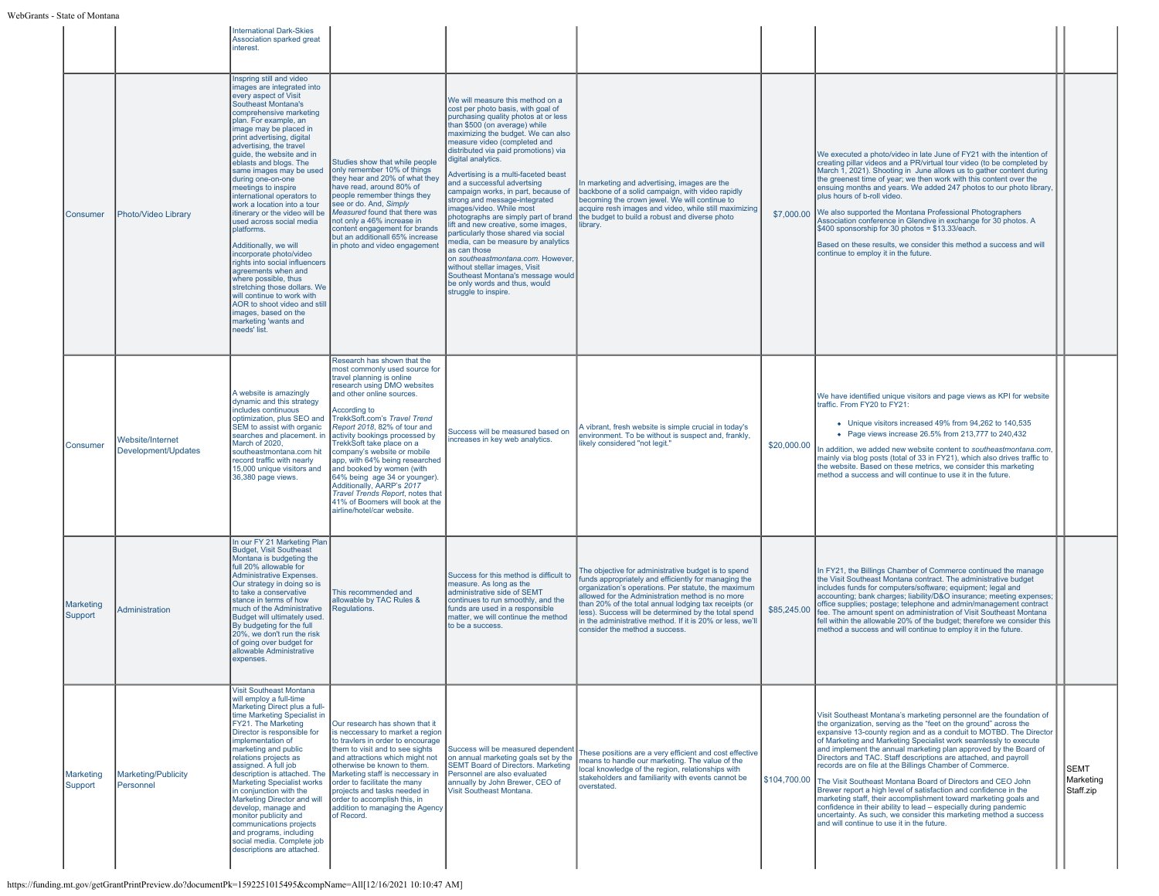|                             |                                         | <b>International Dark-Skies</b><br>Association sparked great<br>interest.                                                                                                                                                                                                                                                                                                                                                                                                                                                                                                                                                                                                                                                                                                                                              |                                                                                                                                                                                                                                                                                                                                                                                                                                                                                                                                                                       |                                                                                                                                                                                                                                                                                                                                                                                                                                                                                                                                                                                                                                                                                                                                                                                                                |                                                                                                                                                                                                                                                                                                                                                                                                                                        |              |                                                                                                                                                                                                                                                                                                                                                                                                                                                                                                                                                                                                                                                                                                                                                                                                                                                                                    |                                       |  |
|-----------------------------|-----------------------------------------|------------------------------------------------------------------------------------------------------------------------------------------------------------------------------------------------------------------------------------------------------------------------------------------------------------------------------------------------------------------------------------------------------------------------------------------------------------------------------------------------------------------------------------------------------------------------------------------------------------------------------------------------------------------------------------------------------------------------------------------------------------------------------------------------------------------------|-----------------------------------------------------------------------------------------------------------------------------------------------------------------------------------------------------------------------------------------------------------------------------------------------------------------------------------------------------------------------------------------------------------------------------------------------------------------------------------------------------------------------------------------------------------------------|----------------------------------------------------------------------------------------------------------------------------------------------------------------------------------------------------------------------------------------------------------------------------------------------------------------------------------------------------------------------------------------------------------------------------------------------------------------------------------------------------------------------------------------------------------------------------------------------------------------------------------------------------------------------------------------------------------------------------------------------------------------------------------------------------------------|----------------------------------------------------------------------------------------------------------------------------------------------------------------------------------------------------------------------------------------------------------------------------------------------------------------------------------------------------------------------------------------------------------------------------------------|--------------|------------------------------------------------------------------------------------------------------------------------------------------------------------------------------------------------------------------------------------------------------------------------------------------------------------------------------------------------------------------------------------------------------------------------------------------------------------------------------------------------------------------------------------------------------------------------------------------------------------------------------------------------------------------------------------------------------------------------------------------------------------------------------------------------------------------------------------------------------------------------------------|---------------------------------------|--|
| <b>Consumer</b>             | Photo/Video Library                     | Inspring still and video<br>mages are integrated into<br>every aspect of Visit<br>Southeast Montana's<br>comprehensive marketing<br>plan. For example, an<br>image may be placed in<br>print advertising, digital<br>advertising, the travel<br>quide, the website and in<br>eblasts and blogs. The<br>same images may be used<br>during one-on-one<br>meetings to inspire<br>international operators to<br>work a location into a tour<br>itinerary or the video will be<br>used across social media<br>platforms.<br>Additionally, we will<br>incorporate photo/video<br>rights into social influencers<br>agreements when and<br>where possible, thus<br>stretching those dollars. We<br>will continue to work with<br>AOR to shoot video and still<br>images, based on the<br>marketing 'wants and<br>needs' list. | Studies show that while people<br>only remember 10% of things<br>they hear and 20% of what they<br>have read, around 80% of<br>people remember things they<br>see or do. And, Simply<br>Measured found that there was<br>not only a 46% increase in<br>content engagement for brands<br>but an additionall 65% increase<br>in photo and video engagement                                                                                                                                                                                                              | We will measure this method on a<br>cost per photo basis, with goal of<br>purchasing quality photos at or less<br>than \$500 (on average) while<br>maximizing the budget. We can also<br>measure video (completed and<br>distributed via paid promotions) via<br>digital analytics.<br>Advertising is a multi-faceted beast<br>and a successful advertsing<br>campaign works, in part, because of<br>strong and message-integrated<br>images/video. While most<br>photographs are simply part of brand<br>lift and new creative, some images,<br>particularly those shared via social<br>media, can be measure by analytics<br>as can those<br>on southeastmontana.com. However<br>without stellar images, Visit<br>Southeast Montana's message would<br>be only words and thus, would<br>struggle to inspire. | In marketing and advertising, images are the<br>backbone of a solid campaign, with video rapidly<br>becoming the crown jewel. We will continue to<br>acquire resh images and video, while still maximizing<br>the budget to build a robust and diverse photo<br>library.                                                                                                                                                               |              | We executed a photo/video in late June of FY21 with the intention of<br>creating pillar videos and a PR/virtual tour video (to be completed by<br>March 1, 2021). Shooting in June allows us to gather content during<br>the greenest time of year; we then work with this content over the<br>ensuing months and years. We added 247 photos to our photo library,<br>blus hours of b-roll video.<br>\$7,000.00 We also supported the Montana Professional Photographers<br>Association conference in Glendive in exchange for 30 photos. A<br>\$400 sponsorship for 30 photos = \$13.33/each.<br>Based on these results, we consider this method a success and will<br>continue to employ it in the future.                                                                                                                                                                       |                                       |  |
| Consumer                    | Website/Internet<br>Development/Updates | A website is amazingly<br>dynamic and this strategy<br>includes continuous<br>optimization, plus SEO and<br>SEM to assist with organic<br>searches and placement. in<br>March of 2020.<br>southeastmontana.com hit<br>record traffic with nearly<br>15,000 unique visitors and<br>36,380 page views.                                                                                                                                                                                                                                                                                                                                                                                                                                                                                                                   | Research has shown that the<br>most commonly used source for<br>travel planning is online<br>research using DMO websites<br>and other online sources.<br>According to<br>TrekkSoft.com's Travel Trend<br>Report 2018, 82% of tour and<br>activity bookings processed by<br>TrekkSoft take place on a<br>company's website or mobile<br>app, with 64% being researched<br>and booked by women (with<br>64% being age 34 or younger).<br>Additionally, AARP's 2017<br>Travel Trends Report, notes that<br>41% of Boomers will book at the<br>airline/hotel/car website. | Success will be measured based on<br>increases in key web analytics.                                                                                                                                                                                                                                                                                                                                                                                                                                                                                                                                                                                                                                                                                                                                           | A vibrant, fresh website is simple crucial in today's<br>environment. To be without is suspect and, frankly,<br>likely considered "not legit."                                                                                                                                                                                                                                                                                         | \$20,000.00  | We have identified unique visitors and page views as KPI for website<br>traffic. From FY20 to FY21:<br>• Unique visitors increased 49% from 94,262 to 140,535<br>• Page views increase 26.5% from 213.777 to 240.432<br>In addition, we added new website content to southeastmontana.com,<br>mainly via blog posts (total of 33 in FY21), which also drives traffic to<br>the website. Based on these metrics, we consider this marketing<br>method a success and will continue to use it in the future.                                                                                                                                                                                                                                                                                                                                                                          |                                       |  |
| <b>Marketing</b><br>Support | <b>Administration</b>                   | In our FY 21 Marketing Plan<br><b>Budget, Visit Southeast</b><br>Montana is budgeting the<br>full 20% allowable for<br><b>Administrative Expenses.</b><br>Our strategy in doing so is<br>to take a conservative<br>stance in terms of how<br>much of the Administrative<br>Budget will ultimately used.<br>By budgeting for the full<br>20%, we don't run the risk<br>of going over budget for<br>allowable Administrative<br>expenses.                                                                                                                                                                                                                                                                                                                                                                                | This recommended and<br>allowable by TAC Rules &<br>Regulations.                                                                                                                                                                                                                                                                                                                                                                                                                                                                                                      | Success for this method is difficult to<br>measure. As long as the<br>administrative side of SEMT<br>continues to run smoothly, and the<br>funds are used in a responsible<br>matter, we will continue the method<br>to be a success.                                                                                                                                                                                                                                                                                                                                                                                                                                                                                                                                                                          | The objective for administrative budget is to spend<br>funds appropriately and efficiently for managing the<br>organization's operations. Per statute, the maximum<br>allowed for the Administration method is no more<br>than 20% of the total annual lodging tax receipts (or<br>less). Success will be determined by the total spend<br>in the administrative method. If it is 20% or less, we'll<br>consider the method a success. | \$85,245.00  | In FY21, the Billings Chamber of Commerce continued the manage<br>the Visit Southeast Montana contract. The administrative budget<br>includes funds for computers/software: equipment: legal and<br>accounting; bank charges; liability/D&O insurance; meeting expenses;<br>office supplies; postage; telephone and admin/management contract<br>fee. The amount spent on administration of Visit Southeast Montana<br>fell within the allowable 20% of the budget; therefore we consider this<br>method a success and will continue to employ it in the future.                                                                                                                                                                                                                                                                                                                   |                                       |  |
| <b>Marketing</b><br>Support | Marketing/Publicity<br>Personnel        | <b>Visit Southeast Montana</b><br>will employ a full-time<br>Marketing Direct plus a full-<br>time Marketing Specialist in<br>FY21. The Marketing<br>Director is responsible for<br>implementation of<br>marketing and public<br>relations projects as<br>assigned. A full job<br>description is attached. The<br><b>Marketing Specialist works</b><br>in conjunction with the<br>Marketing Director and will<br>develop, manage and<br>monitor publicity and<br>communications projects<br>and programs, including<br>social media. Complete job<br>descriptions are attached.                                                                                                                                                                                                                                        | Our research has shown that it<br>is neccessary to market a region<br>to travlers in order to encourage<br>them to visit and to see sights<br>and attractions which might not<br>otherwise be known to them.<br>Marketing staff is neccessary in<br>order to facilitate the many<br>projects and tasks needed in<br>order to accomplish this, in<br>addition to managing the Agency<br>of Record.                                                                                                                                                                     | Success will be measured dependent<br>on annual marketing goals set by the<br><b>SEMT Board of Directors. Marketing</b><br>Personnel are also evaluated<br>annually by John Brewer, CEO of<br>Visit Southeast Montana.                                                                                                                                                                                                                                                                                                                                                                                                                                                                                                                                                                                         | These positions are a very efficient and cost effective<br>neans to handle our marketing. The value of the<br>local knowledge of the region, relationships with<br>stakeholders and familiarity with events cannot be<br>overstated.                                                                                                                                                                                                   | \$104,700.00 | Visit Southeast Montana's marketing personnel are the foundation of<br>the organization, serving as the "feet on the ground" across the<br>expansive 13-county region and as a conduit to MOTBD. The Director<br>of Marketing and Marketing Specialist work seamlessly to execute<br>and implement the annual marketing plan approved by the Board of<br>Directors and TAC. Staff descriptions are attached, and payroll<br>records are on file at the Billings Chamber of Commerce.<br>The Visit Southeast Montana Board of Directors and CEO John<br>Brewer report a high level of satisfaction and confidence in the<br>marketing staff, their accomplishment toward marketing goals and<br>confidence in their ability to lead - especially during pandemic<br>uncertainty. As such, we consider this marketing method a success<br>and will continue to use it in the future. | <b>SEMT</b><br>Marketing<br>Staff.zip |  |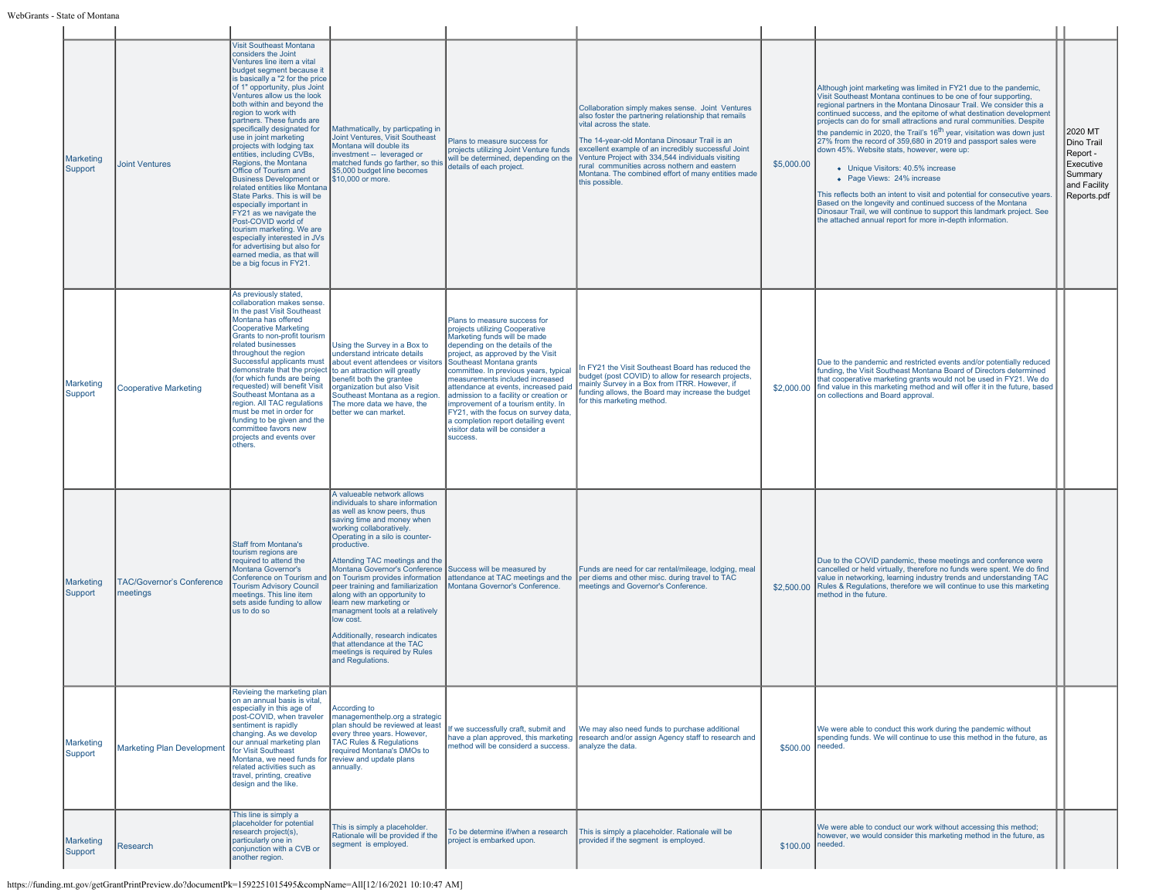| Marketing<br>Support        | <b>Joint Ventures</b>                        | <b>Visit Southeast Montana</b><br>considers the Joint<br>Ventures line item a vital<br>budget segment because it<br>is basically a "2 for the price<br>of 1" opportunity, plus Joint<br>Ventures allow us the look<br>both within and beyond the<br>region to work with<br>partners. These funds are<br>specifically designated for<br>use in joint marketing<br>projects with lodging tax<br>entities, including CVBs,<br>Regions, the Montana<br>Office of Tourism and<br><b>Business Development or</b><br>related entities like Montana<br>State Parks. This is will be<br>especially important in<br>FY21 as we navigate the<br>Post-COVID world of<br>tourism marketing. We are<br>especially interested in JVs<br>for advertising but also for<br>earned media, as that will<br>be a big focus in FY21. | Mathmatically, by particpating in<br>Joint Ventures, Visit Southeast<br>Montana will double its<br>investment -- leveraged or<br>matched funds go farther, so this<br>\$5,000 budget line becomes<br>\$10,000 or more.                                                                                                                                                                                                                                                                                                                                                                                            | Plans to measure success for<br>projects utilizing Joint Venture funds<br>will be determined, depending on the<br>details of each project.                                                                                                                                                                                                                                                                                                                                                                                            | Collaboration simply makes sense. Joint Ventures<br>also foster the partnering relationship that remails<br>vital across the state.<br>The 14-year-old Montana Dinosaur Trail is an<br>excellent example of an incredibly successful Joint<br>Venture Project with 334,544 individuals visiting<br>rural communities across nothern and eastern<br>Montana. The combined effort of many entities made<br>this possible. | \$5,000.00       | Although joint marketing was limited in FY21 due to the pandemic,<br>Visit Southeast Montana continues to be one of four supporting,<br>regional partners in the Montana Dinosaur Trail. We consider this a<br>continued success, and the epitome of what destination development<br>projects can do for small attractions and rural communities. Despite<br>the pandemic in 2020, the Trail's 16 <sup>th</sup> year, visitation was down just<br>27% from the record of 359,680 in 2019 and passport sales were<br>down 45%. Website stats, however, were up:<br>• Unique Visitors: 40.5% increase<br>• Page Views: 24% increase<br>This reflects both an intent to visit and potential for consecutive years.<br>Based on the longevity and continued success of the Montana<br>Dinosaur Trail, we will continue to support this landmark project. See<br>the attached annual report for more in-depth information. | 2020 MT<br>Dino Trail<br>Report -<br>Executive<br>Summary | and Facility<br>Reports.pdf |
|-----------------------------|----------------------------------------------|----------------------------------------------------------------------------------------------------------------------------------------------------------------------------------------------------------------------------------------------------------------------------------------------------------------------------------------------------------------------------------------------------------------------------------------------------------------------------------------------------------------------------------------------------------------------------------------------------------------------------------------------------------------------------------------------------------------------------------------------------------------------------------------------------------------|-------------------------------------------------------------------------------------------------------------------------------------------------------------------------------------------------------------------------------------------------------------------------------------------------------------------------------------------------------------------------------------------------------------------------------------------------------------------------------------------------------------------------------------------------------------------------------------------------------------------|---------------------------------------------------------------------------------------------------------------------------------------------------------------------------------------------------------------------------------------------------------------------------------------------------------------------------------------------------------------------------------------------------------------------------------------------------------------------------------------------------------------------------------------|-------------------------------------------------------------------------------------------------------------------------------------------------------------------------------------------------------------------------------------------------------------------------------------------------------------------------------------------------------------------------------------------------------------------------|------------------|-----------------------------------------------------------------------------------------------------------------------------------------------------------------------------------------------------------------------------------------------------------------------------------------------------------------------------------------------------------------------------------------------------------------------------------------------------------------------------------------------------------------------------------------------------------------------------------------------------------------------------------------------------------------------------------------------------------------------------------------------------------------------------------------------------------------------------------------------------------------------------------------------------------------------|-----------------------------------------------------------|-----------------------------|
| Marketing<br>Support        | <b>Cooperative Marketing</b>                 | As previously stated,<br>collaboration makes sense.<br>In the past Visit Southeast<br>Montana has offered<br><b>Cooperative Marketing</b><br>Grants to non-profit tourism<br>related businesses<br>throughout the region<br>Successful applicants must<br>demonstrate that the project to an attraction will greatly<br>(for which funds are being<br>requested) will benefit Visit<br>Southeast Montana as a<br>region. All TAC regulations<br>must be met in order for<br>funding to be given and the<br>committee favors new<br>projects and events over<br>others.                                                                                                                                                                                                                                         | Using the Survey in a Box to<br>understand intricate details<br>about event attendees or visitors<br>benefit both the grantee<br>organization but also Visit<br>Southeast Montana as a region.<br>The more data we have, the<br>better we can market.                                                                                                                                                                                                                                                                                                                                                             | Plans to measure success for<br>projects utilizing Cooperative<br>Marketing funds will be made<br>depending on the details of the<br>project, as approved by the Visit<br>Southeast Montana grants<br>committee. In previous years, typical<br>measurements included increased<br>attendance at events, increased paid<br>admission to a facility or creation or<br>improvement of a tourism entity. In<br>FY21, with the focus on survey data,<br>a completion report detailing event<br>visitor data will be consider a<br>success. | In FY21 the Visit Southeast Board has reduced the<br>budget (post COVID) to allow for research projects.<br>mainly Survey in a Box from ITRR. However, if<br>funding allows, the Board may increase the budget<br>for this marketing method.                                                                                                                                                                            |                  | Due to the pandemic and restricted events and/or potentially reduced<br>funding, the Visit Southeast Montana Board of Directors determined<br>that cooperative marketing grants would not be used in FY21. We do<br>\$2,000.00   find value in this marketing method and will offer it in the future, based<br>on collections and Board approval.                                                                                                                                                                                                                                                                                                                                                                                                                                                                                                                                                                     |                                                           |                             |
| Marketing<br>Support        | <b>TAC/Governor's Conference</b><br>meetings | <b>Staff from Montana's</b><br>tourism regions are<br>required to attend the<br>Montana Governor's<br>Conference on Tourism an<br><b>Tourism Advisory Council</b><br>meetings. This line item<br>sets aside funding to allow<br>us to do so                                                                                                                                                                                                                                                                                                                                                                                                                                                                                                                                                                    | A valueable network allows<br>individuals to share information<br>as well as know peers, thus<br>saving time and money when<br>working collaboratively.<br>Operating in a silo is counter-<br>productive.<br>Attending TAC meetings and the<br>Montana Governor's Conference Success will be measured by<br>on Tourism provides information<br>peer training and familiarization<br>along with an opportunity to<br>learn new marketing or<br>managment tools at a relatively<br>low cost.<br>Additionally, research indicates<br>that attendance at the TAC<br>meetings is required by Rules<br>and Regulations. | attendance at TAC meetings and the<br>Montana Governor's Conference.                                                                                                                                                                                                                                                                                                                                                                                                                                                                  | Funds are need for car rental/mileage, lodging, meal<br>per diems and other misc. during travel to TAC<br>meetings and Governor's Conference.                                                                                                                                                                                                                                                                           |                  | Due to the COVID pandemic, these meetings and conference were<br>cancelled or held virtually, therefore no funds were spent. We do find<br>value in networking, learning industry trends and understanding TAC<br>\$2,500.00 Rules & Regulations, therefore we will continue to use this marketing<br>method in the future.                                                                                                                                                                                                                                                                                                                                                                                                                                                                                                                                                                                           |                                                           |                             |
| Marketing<br>Support        | <b>Marketing Plan Developmen</b>             | Revieing the marketing plan<br>on an annual basis is vital,<br>especially in this age of<br>post-COVID, when traveler<br>sentiment is rapidly<br>changing. As we develop<br>our annual marketing plan<br>for Visit Southeast<br>Montana, we need funds for<br>related activities such as<br>travel, printing, creative<br>design and the like.                                                                                                                                                                                                                                                                                                                                                                                                                                                                 | According to<br>managementhelp.org a strategic<br>plan should be reviewed at least<br>every three years. However,<br><b>TAC Rules &amp; Regulations</b><br>required Montana's DMOs to<br>review and update plans<br>annually.                                                                                                                                                                                                                                                                                                                                                                                     | f we successfully craft, submit and<br>have a plan approved, this marketing<br>method will be considerd a success.                                                                                                                                                                                                                                                                                                                                                                                                                    | We may also need funds to purchase additional<br>research and/or assign Agency staff to research and<br>analyze the data.                                                                                                                                                                                                                                                                                               | \$500.00 needed. | We were able to conduct this work during the pandemic without<br>spending funds. We will continue to use this method in the future, as                                                                                                                                                                                                                                                                                                                                                                                                                                                                                                                                                                                                                                                                                                                                                                                |                                                           |                             |
| <b>Marketing</b><br>Support | Research                                     | This line is simply a<br>placeholder for potential<br>research project(s),<br>particularly one in<br>conjunction with a CVB or<br>another region.                                                                                                                                                                                                                                                                                                                                                                                                                                                                                                                                                                                                                                                              | This is simply a placeholder.<br>Rationale will be provided if the<br>segment is employed.                                                                                                                                                                                                                                                                                                                                                                                                                                                                                                                        | To be determine if/when a research<br>project is embarked upon.                                                                                                                                                                                                                                                                                                                                                                                                                                                                       | This is simply a placeholder. Rationale will be<br>provided if the segment is employed.                                                                                                                                                                                                                                                                                                                                 | \$100.00 needed. | We were able to conduct our work without accessing this method;<br>however, we would consider this marketing method in the future, as                                                                                                                                                                                                                                                                                                                                                                                                                                                                                                                                                                                                                                                                                                                                                                                 |                                                           |                             |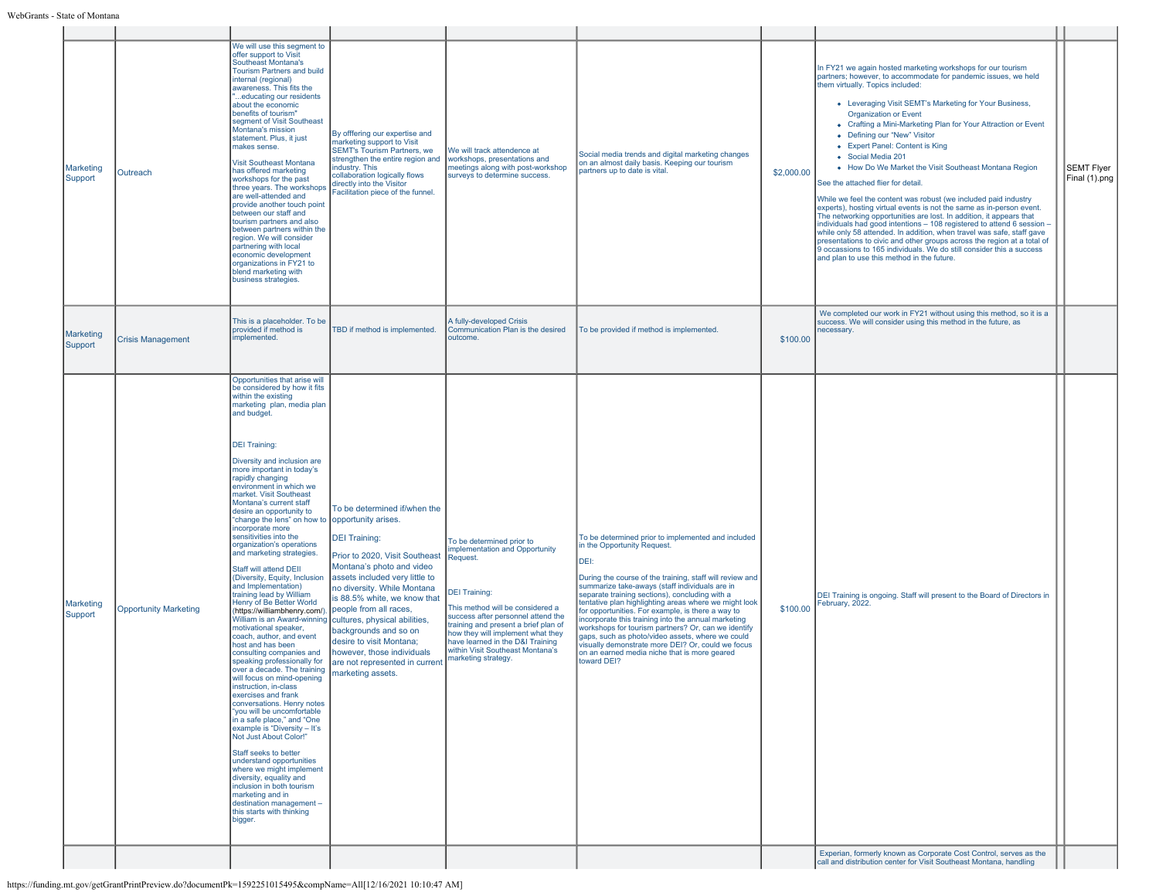| Marketing<br>Support | Outreach                     | We will use this segment to<br>offer support to Visit<br>Southeast Montana's<br><b>Tourism Partners and build</b><br>internal (regional)<br>awareness. This fits the<br>educating our residents<br>about the economic<br>benefits of tourism"<br>segment of Visit Southeast<br>Montana's mission<br>statement. Plus, it just<br>makes sense.<br>Visit Southeast Montana<br>has offered marketing<br>workshops for the past<br>three years. The workshops<br>are well-attended and<br>provide another touch point<br>between our staff and<br>tourism partners and also<br>between partners within the<br>region. We will consider<br>partnering with local<br>economic development<br>organizations in FY21 to<br>blend marketing with<br>business strategies.                                                                                                                                                                                                                                                                                                                                                                                                                                                                                                                                                                      | By offfering our expertise and<br>marketing support to Visit<br><b>SEMT's Tourism Partners, we</b><br>strengthen the entire region and<br>industry. This<br>collaboration logically flows<br>directly into the Visitor<br>Facilitation piece of the funnel.                                                                                                                                                                                           | We will track attendence at<br>workshops, presentations and<br>meetings along with post-workshop<br>surveys to determine success.                                                                                                                                                                                                                    | Social media trends and digital marketing changes<br>on an almost daily basis. Keeping our tourism<br>partners up to date is vital.                                                                                                                                                                                                                                                                                                                                                                                                                                                                                                                          | \$2,000.00 | In FY21 we again hosted marketing workshops for our tourism<br>partners; however, to accommodate for pandemic issues, we held<br>them virtually. Topics included:<br>• Leveraging Visit SEMT's Marketing for Your Business,<br><b>Organization or Event</b><br>• Crafting a Mini-Marketing Plan for Your Attraction or Event<br>• Defining our "New" Visitor<br>• Expert Panel: Content is King<br>• Social Media 201<br>• How Do We Market the Visit Southeast Montana Region<br>See the attached flier for detail.<br>While we feel the content was robust (we included paid industry<br>experts), hosting virtual events is not the same as in-person event.<br>The networking opportunities are lost. In addition, it appears that<br>individuals had good intentions - 108 registered to attend 6 session -<br>while only 58 attended. In addition, when travel was safe, staff gave<br>presentations to civic and other groups across the region at a total of<br>9 occassions to 165 individuals. We do still consider this a success<br>and plan to use this method in the future. | SEMT Flyer<br>Final (1).png |
|----------------------|------------------------------|-------------------------------------------------------------------------------------------------------------------------------------------------------------------------------------------------------------------------------------------------------------------------------------------------------------------------------------------------------------------------------------------------------------------------------------------------------------------------------------------------------------------------------------------------------------------------------------------------------------------------------------------------------------------------------------------------------------------------------------------------------------------------------------------------------------------------------------------------------------------------------------------------------------------------------------------------------------------------------------------------------------------------------------------------------------------------------------------------------------------------------------------------------------------------------------------------------------------------------------------------------------------------------------------------------------------------------------|-------------------------------------------------------------------------------------------------------------------------------------------------------------------------------------------------------------------------------------------------------------------------------------------------------------------------------------------------------------------------------------------------------------------------------------------------------|------------------------------------------------------------------------------------------------------------------------------------------------------------------------------------------------------------------------------------------------------------------------------------------------------------------------------------------------------|--------------------------------------------------------------------------------------------------------------------------------------------------------------------------------------------------------------------------------------------------------------------------------------------------------------------------------------------------------------------------------------------------------------------------------------------------------------------------------------------------------------------------------------------------------------------------------------------------------------------------------------------------------------|------------|--------------------------------------------------------------------------------------------------------------------------------------------------------------------------------------------------------------------------------------------------------------------------------------------------------------------------------------------------------------------------------------------------------------------------------------------------------------------------------------------------------------------------------------------------------------------------------------------------------------------------------------------------------------------------------------------------------------------------------------------------------------------------------------------------------------------------------------------------------------------------------------------------------------------------------------------------------------------------------------------------------------------------------------------------------------------------------------------|-----------------------------|
| Marketing<br>Support | <b>Crisis Management</b>     | This is a placeholder. To be<br>provided if method is<br>implemented.                                                                                                                                                                                                                                                                                                                                                                                                                                                                                                                                                                                                                                                                                                                                                                                                                                                                                                                                                                                                                                                                                                                                                                                                                                                               | TBD if method is implemented.                                                                                                                                                                                                                                                                                                                                                                                                                         | A fully-developed Crisis<br>Communication Plan is the desired<br>outcome.                                                                                                                                                                                                                                                                            | To be provided if method is implemented.                                                                                                                                                                                                                                                                                                                                                                                                                                                                                                                                                                                                                     | \$100.00   | We completed our work in FY21 without using this method, so it is a<br>success. We will consider using this method in the future, as<br>ecessary.                                                                                                                                                                                                                                                                                                                                                                                                                                                                                                                                                                                                                                                                                                                                                                                                                                                                                                                                          |                             |
| Marketing<br>Support | <b>Opportunity Marketing</b> | Opportunities that arise will<br>be considered by how it fits<br>within the existing<br>marketing plan, media plan<br>and budget.<br><b>DEI Training:</b><br>Diversity and inclusion are<br>more important in today's<br>rapidly changing<br>environment in which we<br>market. Visit Southeast<br>Montana's current staff<br>desire an opportunity to<br>"change the lens" on how to opportunity arises.<br>incorporate more<br>sensitivities into the<br>organization's operations<br>and marketing strategies.<br>Staff will attend DEII<br>(Diversity, Equity, Inclusion<br>and Implementation)<br>training lead by William<br>Henry of Be Better World<br>(https://williambhenry.com/).<br>motivational speaker,<br>coach, author, and event<br>host and has been<br>consulting companies and<br>speaking professionally for<br>over a decade. The training<br>will focus on mind-opening<br>instruction, in-class<br>exercises and frank<br>conversations. Henry notes<br>"you will be uncomfortable<br>in a safe place." and "One<br>example is "Diversity - It's<br>Not Just About Color!"<br>Staff seeks to better<br>understand opportunities<br>where we might implement<br>diversity, equality and<br>inclusion in both tourism<br>marketing and in<br>destination management -<br>this starts with thinking<br>bigger. | To be determined if/when the<br><b>DEI Training:</b><br>Prior to 2020, Visit Southeast<br>Montana's photo and video<br>assets included very little to<br>no diversity. While Montana<br>is 88.5% white, we know that<br>people from all races,<br>William is an Award-winning cultures, physical abilities,<br>backgrounds and so on<br>desire to visit Montana;<br>however, those individuals<br>are not represented in current<br>marketing assets. | To be determined prior to<br>mplementation and Opportunity<br>Request.<br><b>DEI Training:</b><br>This method will be considered a<br>success after personnel attend the<br>training and present a brief plan of<br>how they will implement what they<br>have learned in the D&I Training<br>within Visit Southeast Montana's<br>marketing strategy. | To be determined prior to implemented and included<br>in the Opportunity Request.<br>DEI:<br>During the course of the training, staff will review and<br>summarize take-aways (staff individuals are in<br>separate training sections), concluding with a<br>tentative plan highlighting areas where we might look<br>for opportunities. For example, is there a way to<br>ncorporate this training into the annual marketing<br>workshops for tourism partners? Or, can we identify<br>gaps, such as photo/video assets, where we could<br>visually demonstrate more DEI? Or, could we focus<br>on an earned media niche that is more geared<br>toward DEI? | \$100.00   | DEI Training is ongoing. Staff will present to the Board of Directors in<br>February, 2022.<br>Experian, formerly known as Corporate Cost Control, serves as the                                                                                                                                                                                                                                                                                                                                                                                                                                                                                                                                                                                                                                                                                                                                                                                                                                                                                                                           |                             |
|                      |                              |                                                                                                                                                                                                                                                                                                                                                                                                                                                                                                                                                                                                                                                                                                                                                                                                                                                                                                                                                                                                                                                                                                                                                                                                                                                                                                                                     |                                                                                                                                                                                                                                                                                                                                                                                                                                                       |                                                                                                                                                                                                                                                                                                                                                      |                                                                                                                                                                                                                                                                                                                                                                                                                                                                                                                                                                                                                                                              |            | call and distribution center for Visit Southeast Montana, handling                                                                                                                                                                                                                                                                                                                                                                                                                                                                                                                                                                                                                                                                                                                                                                                                                                                                                                                                                                                                                         |                             |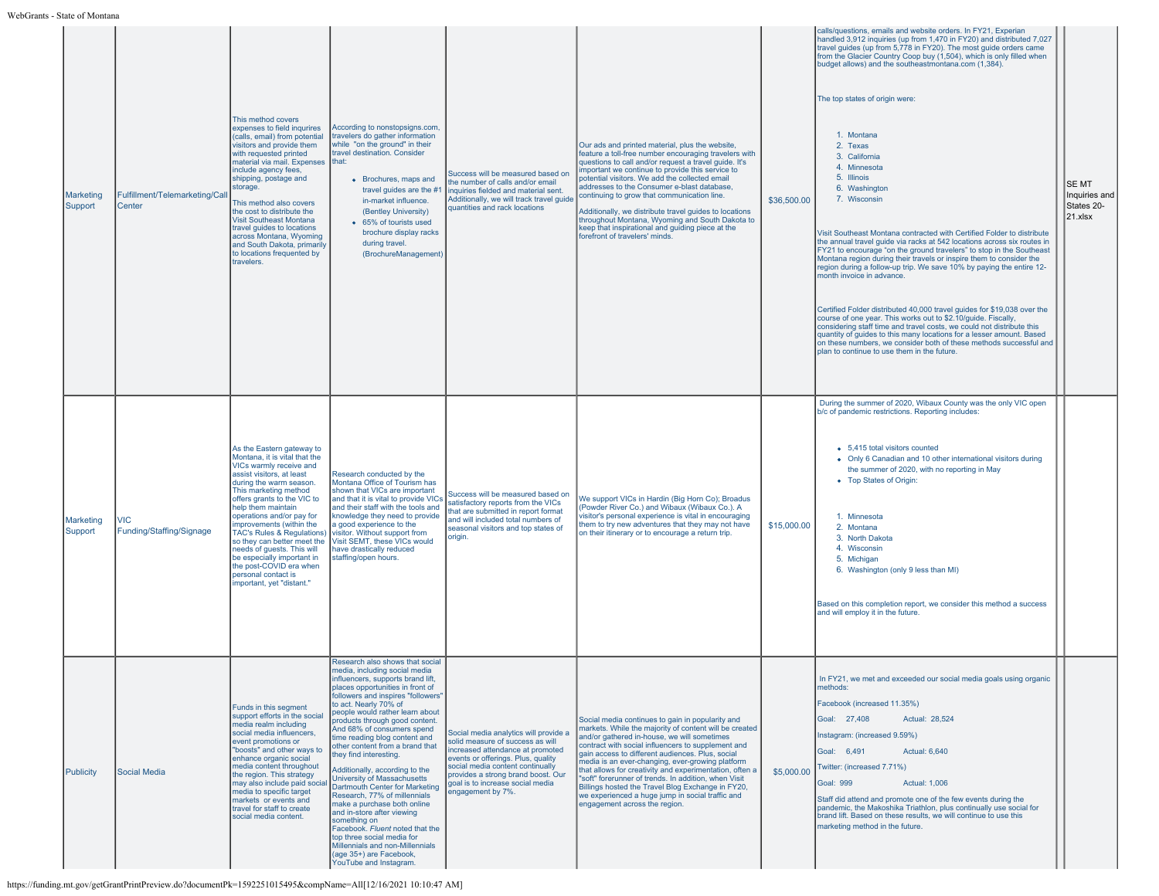| <b>Marketing</b><br>Support | Fulfillment/Telemarketing/Call<br>Center | This method covers<br>expenses to field inqurires<br>(calls, email) from potential<br>visitors and provide them<br>with requested printed<br>material via mail. Expenses that:<br>include agency fees.<br>shipping, postage and<br>storage.<br>This method also covers<br>the cost to distribute the<br><b>Visit Southeast Montana</b><br>travel guides to locations<br>across Montana, Wyoming<br>and South Dakota, primarily<br>to locations frequented by<br>travelers. | According to nonstopsigns.com,<br>travelers do gather information<br>while "on the ground" in their<br>travel destination. Consider<br>• Brochures, maps and<br>travel guides are the #1<br>in-market influence.<br>(Bentley University)<br>• 65% of tourists used<br>brochure display racks<br>during travel.<br>(BrochureManagement)                                                                                                                                                                                                                                                                                                                                                                                                                                          | Success will be measured based on<br>he number of calls and/or email<br>inquiries fielded and material sent.<br>Additionally, we will track travel guide<br>quantities and rack locations                                                                                              | Our ads and printed material, plus the website,<br>feature a toll-free number encouraging travelers with<br>questions to call and/or request a travel guide. It's<br>mportant we continue to provide this service to<br>potential visitors. We add the collected email<br>addresses to the Consumer e-blast database,<br>continuing to grow that communication line.<br>Additionally, we distribute travel guides to locations<br>throughout Montana, Wyoming and South Dakota to<br>keep that inspirational and quiding piece at the<br>forefront of travelers' minds.              | \$36,500.00 | calls/questions, emails and website orders. In FY21, Experian<br>handled 3,912 inquiries (up from 1,470 in FY20) and distributed 7,027<br>travel guides (up from 5,778 in FY20). The most guide orders came<br>from the Glacier Country Coop buy (1,504), which is only filled when<br>budget allows) and the southeastmontana.com (1,384).<br>The top states of origin were:<br>1. Montana<br>2. Texas<br>3. California<br>4. Minnesota<br>5. Illinois<br>6. Washington<br>7. Wisconsin<br>Visit Southeast Montana contracted with Certified Folder to distribute<br>the annual travel guide via racks at 542 locations across six routes in<br>FY21 to encourage "on the ground travelers" to stop in the Southeast<br>Montana region during their travels or inspire them to consider the<br>region during a follow-up trip. We save 10% by paying the entire 12-<br>month invoice in advance.<br>Certified Folder distributed 40,000 travel guides for \$19,038 over the<br>course of one year. This works out to \$2.10/quide. Fiscally,<br>considering staff time and travel costs, we could not distribute this<br>quantity of guides to this many locations for a lesser amount. Based<br>on these numbers, we consider both of these methods successful and<br>plan to continue to use them in the future. | <b>SEMT</b><br>Inquiries and<br>States 20-<br>$ 21.x $ sx |
|-----------------------------|------------------------------------------|----------------------------------------------------------------------------------------------------------------------------------------------------------------------------------------------------------------------------------------------------------------------------------------------------------------------------------------------------------------------------------------------------------------------------------------------------------------------------|---------------------------------------------------------------------------------------------------------------------------------------------------------------------------------------------------------------------------------------------------------------------------------------------------------------------------------------------------------------------------------------------------------------------------------------------------------------------------------------------------------------------------------------------------------------------------------------------------------------------------------------------------------------------------------------------------------------------------------------------------------------------------------|----------------------------------------------------------------------------------------------------------------------------------------------------------------------------------------------------------------------------------------------------------------------------------------|--------------------------------------------------------------------------------------------------------------------------------------------------------------------------------------------------------------------------------------------------------------------------------------------------------------------------------------------------------------------------------------------------------------------------------------------------------------------------------------------------------------------------------------------------------------------------------------|-------------|---------------------------------------------------------------------------------------------------------------------------------------------------------------------------------------------------------------------------------------------------------------------------------------------------------------------------------------------------------------------------------------------------------------------------------------------------------------------------------------------------------------------------------------------------------------------------------------------------------------------------------------------------------------------------------------------------------------------------------------------------------------------------------------------------------------------------------------------------------------------------------------------------------------------------------------------------------------------------------------------------------------------------------------------------------------------------------------------------------------------------------------------------------------------------------------------------------------------------------------------------------------------------------------------------------------------|-----------------------------------------------------------|
| Marketing<br>Support        | VIC<br>Funding/Staffing/Signage          | As the Eastern gateway to<br>Montana, it is vital that the<br>VICs warmly receive and<br>assist visitors, at least<br>during the warm season.<br>This marketing method<br>offers grants to the VIC to<br>help them maintain<br>operations and/or pay for<br>improvements (within the<br>needs of quests. This will<br>be especially important in<br>the post-COVID era when<br>personal contact is<br>mportant, yet "distant."                                             | Research conducted by the<br>Montana Office of Tourism has<br>shown that VICs are important<br>and that it is vital to provide VICs<br>and their staff with the tools and<br>knowledge they need to provide<br>a good experience to the<br>TAC's Rules & Regulations) visitor. Without support from<br>so they can better meet the Visit SEMT, these VICs would<br>have drastically reduced<br>staffing/open hours.                                                                                                                                                                                                                                                                                                                                                             | Success will be measured based on<br>satisfactory reports from the VICs<br>that are submitted in report format<br>and will included total numbers of<br>seasonal visitors and top states of<br>riain.                                                                                  | We support VICs in Hardin (Big Horn Co); Broadus<br>(Powder River Co.) and Wibaux (Wibaux Co.). A<br>visitor's personal experience is vital in encouraging<br>them to try new adventures that they may not have<br>on their itinerary or to encourage a return trip.                                                                                                                                                                                                                                                                                                                 | \$15,000.00 | During the summer of 2020, Wibaux County was the only VIC open<br>b/c of pandemic restrictions. Reporting includes:<br>• 5,415 total visitors counted<br>• Only 6 Canadian and 10 other international visitors during<br>the summer of 2020, with no reporting in May<br>• Top States of Origin:<br>1. Minnesota<br>2. Montana<br>3. North Dakota<br>4. Wisconsin<br>5. Michigan<br>6. Washington (only 9 less than MI)<br>Based on this completion report, we consider this method a success<br>and will employ it in the future.                                                                                                                                                                                                                                                                                                                                                                                                                                                                                                                                                                                                                                                                                                                                                                                  |                                                           |
| Publicity                   | Social Media                             | Funds in this segment<br>support efforts in the social<br>media realm including<br>social media influencers,<br>event promotions or<br>"boosts" and other ways to<br>enhance organic social<br>media content throughout<br>the region. This strategy<br>may also include paid socia<br>media to specific target<br>markets or events and<br>travel for staff to create<br>social media content.                                                                            | Research also shows that social<br>media, including social media<br>muencers, supports brand lift,<br>places opportunities in front of<br>followers and inspires "followers"<br>to act. Nearly 70% of<br>people would rather learn about<br>products through good content.<br>And 68% of consumers spend<br>time reading blog content and<br>other content from a brand that<br>they find interesting.<br>Additionally, according to the<br>University of Massachusetts<br>Dartmouth Center for Marketing<br>Research, 77% of millennials<br>make a purchase both online<br>and in-store after viewing<br>something on<br>Facebook. Fluent noted that the<br>top three social media for<br>Millennials and non-Millennials<br>(age 35+) are Facebook,<br>YouTube and Instagram. | Social media analytics will provide a<br>solid measure of success as will<br>increased attendance at promoted<br>events or offerings. Plus, quality<br>social media content continually<br>provides a strong brand boost. Our<br>aoal is to increase social media<br>engagement by 7%. | Social media continues to gain in popularity and<br>markets. While the majority of content will be created<br>and/or gathered in-house, we will sometimes<br>contract with social influencers to supplement and<br>gain access to different audiences. Plus, social<br>media is an ever-changing, ever-growing platform<br>that allows for creativity and experimentation, often a<br>"soft" forerunner of trends. In addition, when Visit<br>Billings hosted the Travel Blog Exchange in FY20.<br>we experienced a huge jump in social traffic and<br>engagement across the region. | \$5,000.00  | In FY21, we met and exceeded our social media goals using organ<br>methods:<br>Facebook (increased 11.35%)<br>Goal: 27,408<br>Actual: 28,524<br>Instagram: (increased 9.59%)<br><b>Actual: 6.640</b><br>Goal: 6,491<br>Twitter: (increased 7.71%)<br><b>Goal: 999</b><br><b>Actual: 1.006</b><br>Staff did attend and promote one of the few events during the<br>pandemic, the Makoshika Triathlon, plus continually use social for<br>brand lift. Based on these results, we will continue to use this<br>marketing method in the future.                                                                                                                                                                                                                                                                                                                                                                                                                                                                                                                                                                                                                                                                                                                                                                         |                                                           |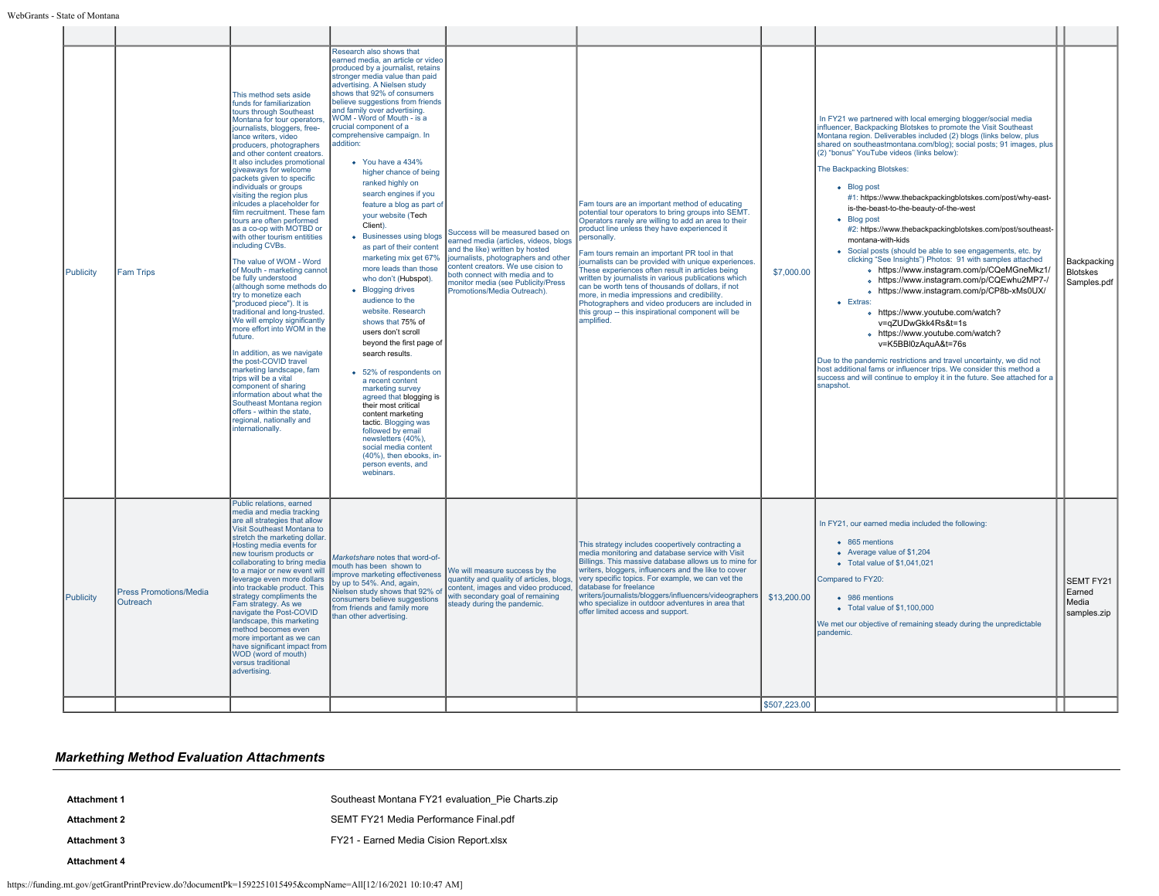| Publicity | <b>Fam Trips</b>                          | This method sets aside<br>funds for familiarization<br>tours through Southeast<br>Montana for tour operators,<br>journalists, bloggers, free-<br>lance writers, video<br>producers, photographers<br>and other content creators.<br>It also includes promotional<br>giveaways for welcome<br>packets given to specific<br>individuals or groups<br>visiting the region plus<br>inlcudes a placeholder for<br>film recruitment. These fam<br>tours are often performed<br>as a co-op with MOTBD or<br>with other tourism entitities<br>including CVBs.<br>The value of WOM - Word<br>of Mouth - marketing cannot<br>be fully understood<br>(although some methods do<br>try to monetize each<br>"produced piece"). It is<br>traditional and long-trusted.<br>We will employ significantly<br>more effort into WOM in the<br>future.<br>In addition, as we navigate<br>the post-COVID travel<br>marketing landscape, fam<br>trips will be a vital<br>component of sharing<br>information about what the<br>Southeast Montana region<br>offers - within the state.<br>regional, nationally and<br>internationally. | Research also shows that<br>earned media, an article or video<br>produced by a journalist, retains<br>stronger media value than paid<br>advertising. A Nielsen study<br>shows that 92% of consumers<br>believe suggestions from friends<br>and family over advertising.<br>WOM - Word of Mouth - is a<br>crucial component of a<br>comprehensive campaign. In<br>addition:<br>• You have a 434%<br>higher chance of being<br>ranked highly on<br>search engines if you<br>feature a blog as part of<br>your website (Tech<br>Client).<br>• Businesses using blogs<br>as part of their content<br>marketing mix get 67%<br>more leads than those<br>who don't (Hubspot).<br>• Blogging drives<br>audience to the<br>website. Research<br>shows that 75% of<br>users don't scroll<br>beyond the first page of<br>search results.<br>• 52% of respondents on<br>a recent content<br>marketing survey<br>agreed that blogging is<br>their most critical<br>content marketing<br>tactic. Blogging was<br>followed by email<br>newsletters (40%),<br>social media content<br>(40%), then ebooks, in-<br>person events, and<br>webinars. | Success will be measured based on<br>earned media (articles, videos, blogs<br>and the like) written by hosted<br>journalists, photographers and other<br>content creators. We use cision to<br>both connect with media and to<br>monitor media (see Publicity/Press<br>Promotions/Media Outreach). | Fam tours are an important method of educating<br>potential tour operators to bring groups into SEMT.<br>Operators rarely are willing to add an area to their<br>product line unless they have experienced it<br>personally.<br>Fam tours remain an important PR tool in that<br>journalists can be provided with unique experiences.<br>These experiences often result in articles being<br>written by journalists in various publications which<br>can be worth tens of thousands of dollars, if not<br>more, in media impressions and credibility.<br>Photographers and video producers are included in<br>this group -- this inspirational component will be<br>amplified. | \$7,000.00   | In FY21 we partnered with local emerging blogger/social media<br>influencer, Backpacking Blotskes to promote the Visit Southeast<br>Montana region. Deliverables included (2) blogs (links below, plus<br>shared on southeastmontana.com/blog); social posts; 91 images, plus<br>(2) "bonus" YouTube videos (links below):<br>The Backpacking Blotskes:<br>• Blog post<br>#1: https://www.thebackpackingblotskes.com/post/why-east-<br>is-the-beast-to-the-beauty-of-the-west<br>• Blog post<br>#2: https://www.thebackpackingblotskes.com/post/southeast-<br>montana-with-kids<br>• Social posts (should be able to see engagements, etc. by<br>clicking "See Insights") Photos: 91 with samples attached<br>o https://www.instagram.com/p/CQeMGneMkz1/<br>o https://www.instagram.com/p/CQEwhu2MP7-/<br>o https://www.instagram.com/p/CP8b-xMs0UX/<br>$\bullet$ Extras:<br>o https://www.youtube.com/watch?<br>v=qZUDwGkk4Rs&t=1s<br>o https://www.youtube.com/watch?<br>v=K5BBI0zAquA&t=76s<br>Due to the pandemic restrictions and travel uncertainty, we did not<br>host additional fams or influencer trips. We consider this method a<br>success and will continue to employ it in the future. See attached for a<br>snapshot. | Backpacking<br>Blotskes<br>Samples.pdf             |
|-----------|-------------------------------------------|-----------------------------------------------------------------------------------------------------------------------------------------------------------------------------------------------------------------------------------------------------------------------------------------------------------------------------------------------------------------------------------------------------------------------------------------------------------------------------------------------------------------------------------------------------------------------------------------------------------------------------------------------------------------------------------------------------------------------------------------------------------------------------------------------------------------------------------------------------------------------------------------------------------------------------------------------------------------------------------------------------------------------------------------------------------------------------------------------------------------|-----------------------------------------------------------------------------------------------------------------------------------------------------------------------------------------------------------------------------------------------------------------------------------------------------------------------------------------------------------------------------------------------------------------------------------------------------------------------------------------------------------------------------------------------------------------------------------------------------------------------------------------------------------------------------------------------------------------------------------------------------------------------------------------------------------------------------------------------------------------------------------------------------------------------------------------------------------------------------------------------------------------------------------------------------------------------------------------------------------------------------------|----------------------------------------------------------------------------------------------------------------------------------------------------------------------------------------------------------------------------------------------------------------------------------------------------|--------------------------------------------------------------------------------------------------------------------------------------------------------------------------------------------------------------------------------------------------------------------------------------------------------------------------------------------------------------------------------------------------------------------------------------------------------------------------------------------------------------------------------------------------------------------------------------------------------------------------------------------------------------------------------|--------------|---------------------------------------------------------------------------------------------------------------------------------------------------------------------------------------------------------------------------------------------------------------------------------------------------------------------------------------------------------------------------------------------------------------------------------------------------------------------------------------------------------------------------------------------------------------------------------------------------------------------------------------------------------------------------------------------------------------------------------------------------------------------------------------------------------------------------------------------------------------------------------------------------------------------------------------------------------------------------------------------------------------------------------------------------------------------------------------------------------------------------------------------------------------------------------------------------------------------------------------|----------------------------------------------------|
| Publicity | <b>Press Promotions/Media</b><br>Outreach | Public relations, earned<br>media and media tracking<br>are all strategies that allow<br>Visit Southeast Montana to<br>stretch the marketing dollar.<br>Hosting media events for<br>new tourism products or<br>collaborating to bring media<br>to a major or new event will<br>leverage even more dollars<br>into trackable product. This<br>strategy compliments the<br>Fam strategy. As we<br>navigate the Post-COVID<br>landscape, this marketing<br>method becomes even<br>more important as we can<br>have significant impact from<br>WOD (word of mouth)<br>versus traditional<br>advertising.                                                                                                                                                                                                                                                                                                                                                                                                                                                                                                            | Marketshare notes that word-of-<br>mouth has been shown to<br>improve marketing effectiveness<br>by up to 54%. And, again,<br>Nielsen study shows that 92% of<br>consumers believe suggestions<br>from friends and family more<br>than other advertising.                                                                                                                                                                                                                                                                                                                                                                                                                                                                                                                                                                                                                                                                                                                                                                                                                                                                         | We will measure success by the<br>quantity and quality of articles, blogs,<br>content, images and video produced.<br>with secondary goal of remaining<br>steady during the pandemic.                                                                                                               | This strategy includes coopertively contracting a<br>media monitoring and database service with Visit<br>Billings. This massive database allows us to mine for<br>writers, bloggers, influencers and the like to cover<br>very specific topics. For example, we can yet the<br>database for freelance<br>writers/journalists/bloggers/influencers/videographers<br>who specialize in outdoor adventures in area that<br>offer limited access and support.                                                                                                                                                                                                                      | \$13,200.00  | In FY21, our earned media included the following:<br>• 865 mentions<br>• Average value of \$1,204<br>$\bullet$ Total value of \$1,041,021<br>Compared to FY20:<br>• 986 mentions<br>$\bullet$ Total value of \$1,100,000<br>We met our objective of remaining steady during the unpredictable<br>pandemic.                                                                                                                                                                                                                                                                                                                                                                                                                                                                                                                                                                                                                                                                                                                                                                                                                                                                                                                            | <b>SEMT FY21</b><br>Earned<br>Media<br>samples.zip |
|           |                                           |                                                                                                                                                                                                                                                                                                                                                                                                                                                                                                                                                                                                                                                                                                                                                                                                                                                                                                                                                                                                                                                                                                                 |                                                                                                                                                                                                                                                                                                                                                                                                                                                                                                                                                                                                                                                                                                                                                                                                                                                                                                                                                                                                                                                                                                                                   |                                                                                                                                                                                                                                                                                                    |                                                                                                                                                                                                                                                                                                                                                                                                                                                                                                                                                                                                                                                                                | \$507.223.00 |                                                                                                                                                                                                                                                                                                                                                                                                                                                                                                                                                                                                                                                                                                                                                                                                                                                                                                                                                                                                                                                                                                                                                                                                                                       |                                                    |

## *Markething Method Evaluation Attachments*

- Attachment 1 **Attachment 1** [Southeast Montana FY21 evaluation\\_Pie Charts.zip](https://funding.mt.gov/fileDownload.jsp?filename=1639415093650_Southeast+Montana+FY21+evaluation_Pie+Charts.zip) **Attachment 2** [SEMT FY21 Media Performance Final.pdf](https://funding.mt.gov/fileDownload.jsp?filename=1639518283360_SEMT+FY21+Media+Performance+Final.pdf) Attachment 3 **Attachment 3 FY21** - Earned Media Cision Report.xlsx
- **Attachment 4**
- https://funding.mt.gov/getGrantPrintPreview.do?documentPk=1592251015495&compName=All[12/16/2021 10:10:47 AM]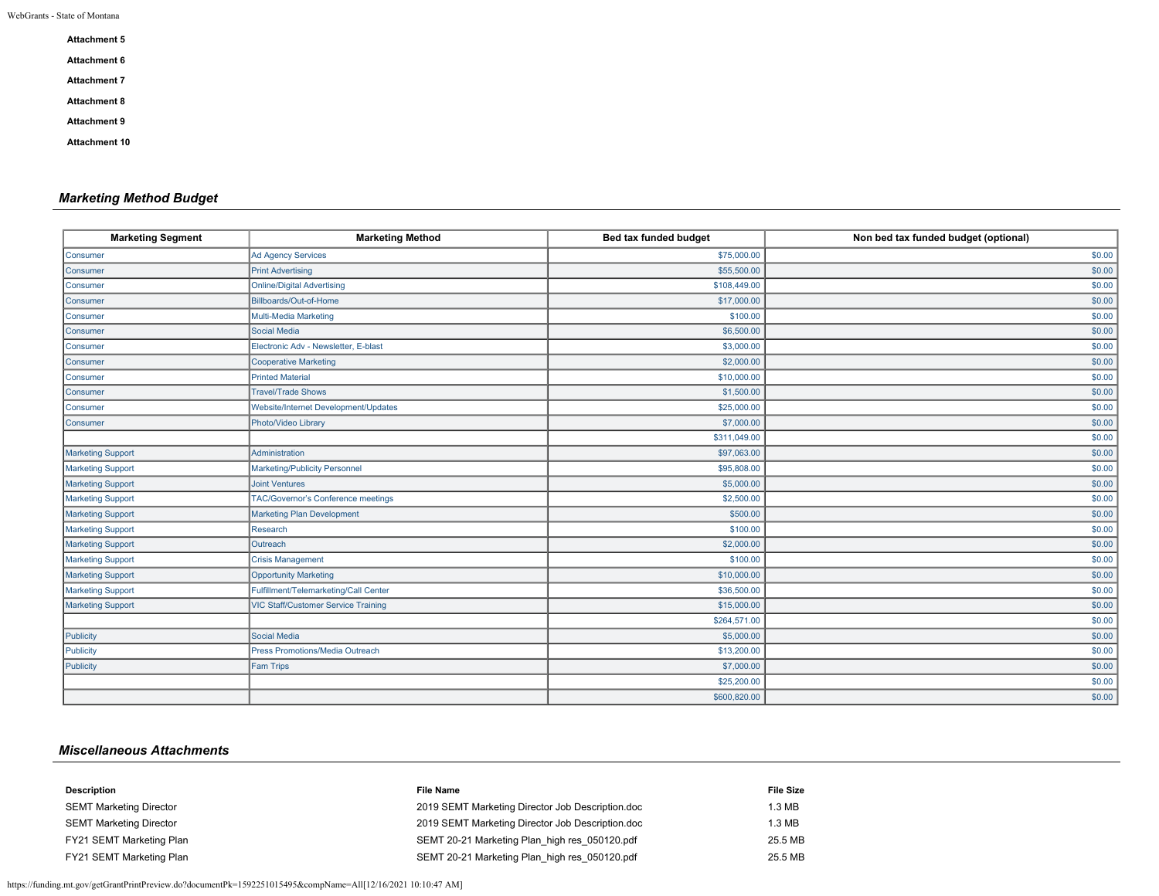| <b>Attachment 5</b>  |
|----------------------|
| <b>Attachment 6</b>  |
| <b>Attachment 7</b>  |
| <b>Attachment 8</b>  |
| <b>Attachment 9</b>  |
| <b>Attachment 10</b> |

## *Marketing Method Budget*

| <b>Marketing Segment</b> | <b>Marketing Method</b>                    | Bed tax funded budget | Non bed tax funded budget (optional) |
|--------------------------|--------------------------------------------|-----------------------|--------------------------------------|
| Consumer                 | <b>Ad Agency Services</b>                  | \$75,000.00           | \$0.00                               |
| Consumer                 | <b>Print Advertising</b>                   | \$55,500.00           | \$0.00                               |
| Consumer                 | <b>Online/Digital Advertising</b>          | \$108,449.00          | \$0.00                               |
| Consumer                 | Billboards/Out-of-Home                     | \$17,000.00           | \$0.00                               |
| Consumer                 | Multi-Media Marketing                      | \$100.00              | \$0.00                               |
| <b>Consumer</b>          | Social Media                               | \$6,500.00            | \$0.00                               |
| Consumer                 | Electronic Adv - Newsletter, E-blast       | \$3,000.00            | \$0.00                               |
| Consumer                 | Cooperative Marketing                      | \$2,000.00            | \$0.00                               |
| <b>Consumer</b>          | <b>Printed Material</b>                    | \$10,000.00           | \$0.00                               |
| Consumer                 | <b>Travel/Trade Shows</b>                  | \$1,500.00            | \$0.00                               |
| Consumer                 | Website/Internet Development/Updates       | \$25,000.00           | \$0.00                               |
| Consumer                 | Photo/Video Library                        | \$7,000.00            | \$0.00                               |
|                          |                                            | \$311,049.00          | \$0.00                               |
| Marketing Support        | Administration                             | \$97,063.00           | \$0.00                               |
| Marketing Support        | Marketing/Publicity Personnel              | \$95,808.00           | \$0.00                               |
| <b>Marketing Support</b> | <b>Joint Ventures</b>                      | \$5,000.00            | \$0.00                               |
| <b>Marketing Support</b> | <b>TAC/Governor's Conference meetings</b>  | \$2,500.00            | \$0.00                               |
| <b>Marketing Support</b> | <b>Marketing Plan Development</b>          | \$500.00              | \$0.00                               |
| Marketing Support        | Research                                   | \$100.00              | \$0.00                               |
| <b>Marketing Support</b> | Outreach                                   | \$2,000.00            | \$0.00                               |
| Marketing Support        | <b>Crisis Management</b>                   | \$100.00              | \$0.00                               |
| Marketing Support        | <b>Opportunity Marketing</b>               | \$10,000.00           | \$0.00                               |
| Marketing Support        | Fulfillment/Telemarketing/Call Center      | \$36,500.00           | \$0.00                               |
| Marketing Support        | <b>VIC Staff/Customer Service Training</b> | \$15,000.00           | \$0.00                               |
|                          |                                            | \$264,571.00          | \$0.00                               |
| Publicity                | Social Media                               | \$5,000.00            | \$0.00                               |
| Publicity                | Press Promotions/Media Outreach            | \$13,200.00           | \$0.00                               |
| Publicity                | <b>Fam Trips</b>                           | \$7,000.00            | \$0.00                               |
|                          |                                            | \$25,200.00           | \$0.00                               |
|                          |                                            | \$600,820.00          | \$0.00                               |

## *Miscellaneous Attachments*

| Description                    | <b>File Name</b>                                 | <b>File Size</b> |
|--------------------------------|--------------------------------------------------|------------------|
| <b>SEMT Marketing Director</b> | 2019 SEMT Marketing Director Job Description.doc | 1.3 MB           |
| <b>SEMT Marketing Director</b> | 2019 SEMT Marketing Director Job Description.doc | 1.3 MB           |
| FY21 SEMT Marketing Plan       | SEMT 20-21 Marketing Plan high res 050120.pdf    | 25.5 MB          |
| FY21 SEMT Marketing Plan       | SEMT 20-21 Marketing Plan_high res_050120.pdf    | 25.5 MB          |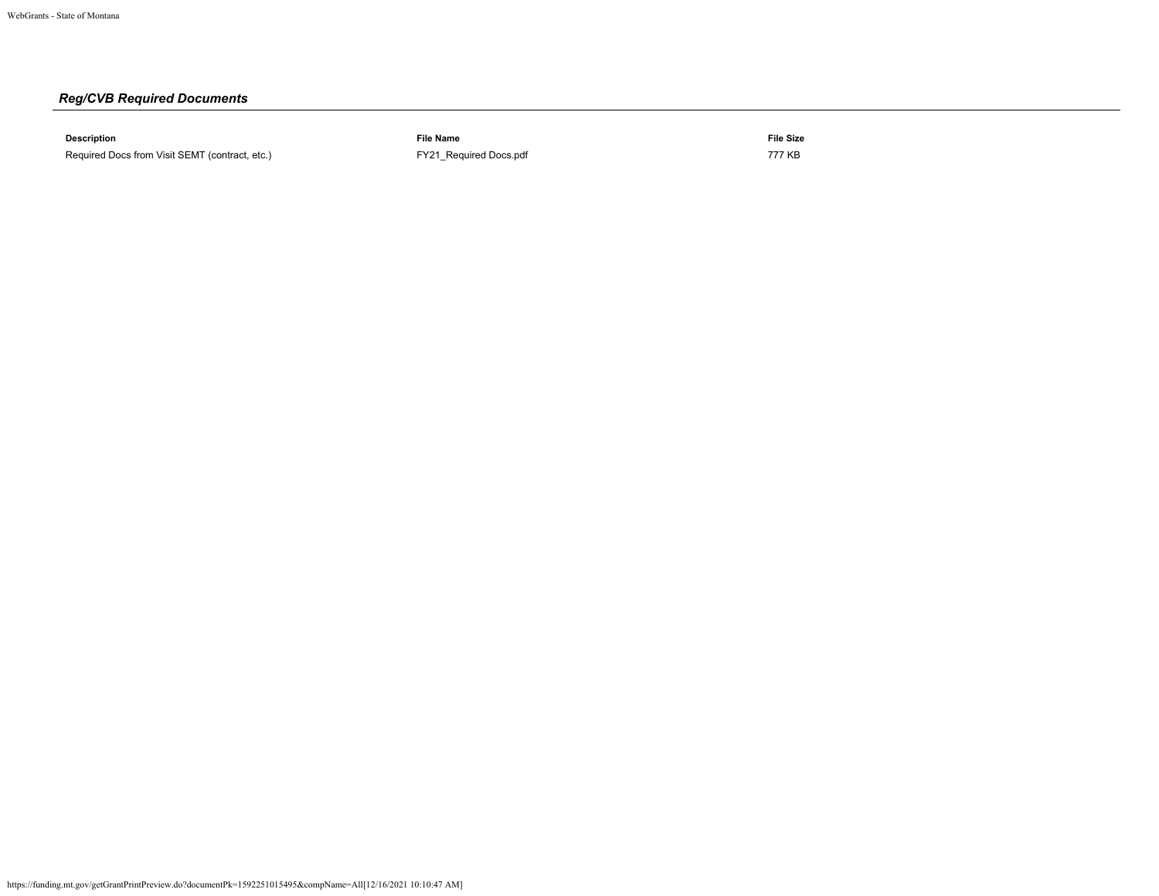# *Reg/CVB Required Documents*

**Description File Name File Size** Required Docs from Visit SEMT (contract, etc.) **[FY21\\_Required Docs.pdf](https://funding.mt.gov/fileDownload.jsp?filename=1593615496311_FY21_Required+Docs.pdf)** FY21\_Required Docs.pdf 777 KB